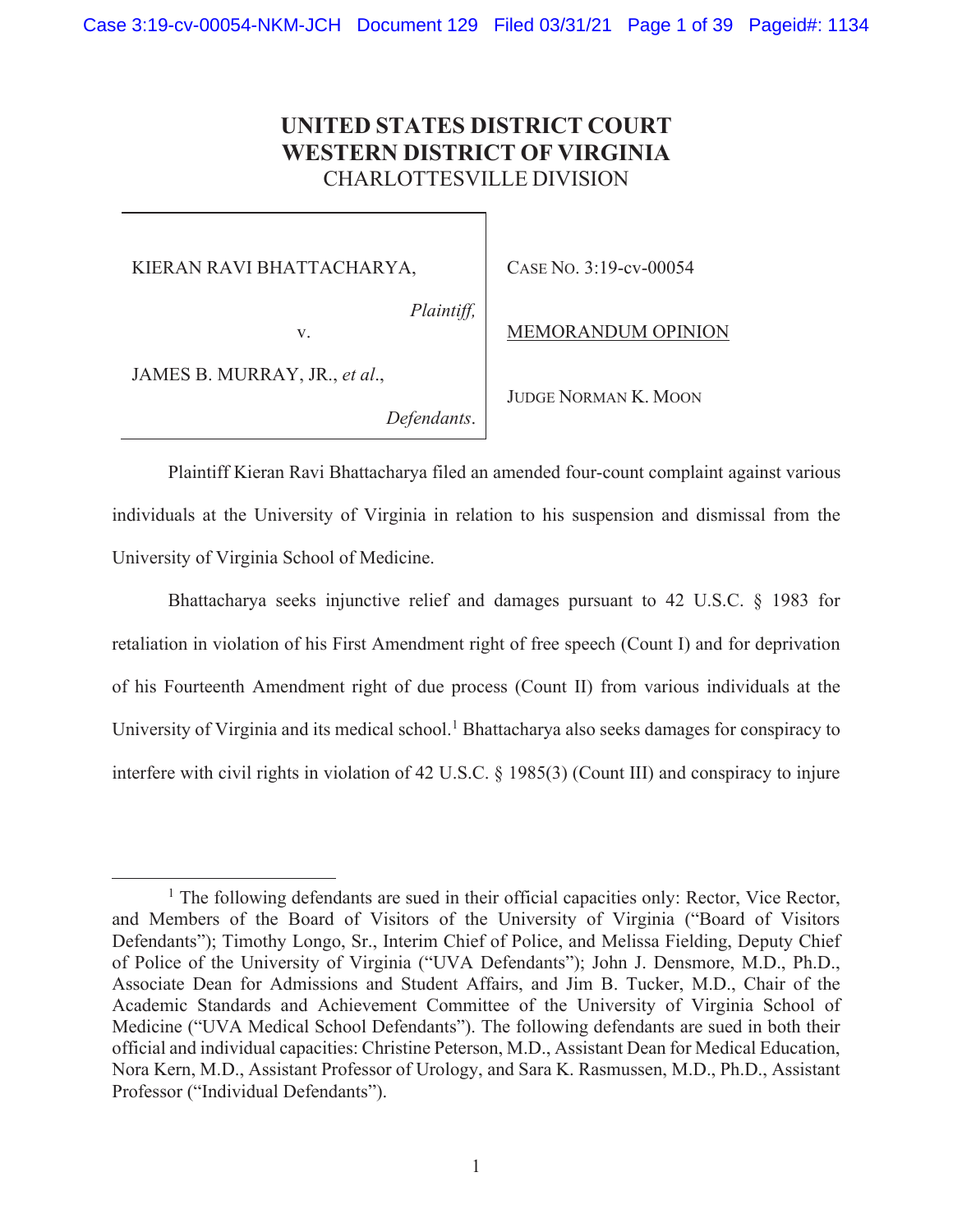# **UNITED STATES DISTRICT COURT WESTERN DISTRICT OF VIRGINIA**  CHARLOTTESVILLE DIVISION

KIERAN RAVI BHATTACHARYA,

v.

*Plaintiff,*

CASE NO. 3:19-cv-00054

MEMORANDUM OPINION

JAMES B. MURRAY, JR., *et al*.,

*Defendants*.

JUDGE NORMAN K. MOON

Plaintiff Kieran Ravi Bhattacharya filed an amended four-count complaint against various individuals at the University of Virginia in relation to his suspension and dismissal from the University of Virginia School of Medicine.

Bhattacharya seeks injunctive relief and damages pursuant to 42 U.S.C. § 1983 for retaliation in violation of his First Amendment right of free speech (Count I) and for deprivation of his Fourteenth Amendment right of due process (Count II) from various individuals at the University of Virginia and its medical school.<sup>1</sup> Bhattacharya also seeks damages for conspiracy to interfere with civil rights in violation of 42 U.S.C. § 1985(3) (Count III) and conspiracy to injure

<sup>&</sup>lt;sup>1</sup> The following defendants are sued in their official capacities only: Rector, Vice Rector, and Members of the Board of Visitors of the University of Virginia ("Board of Visitors Defendants"); Timothy Longo, Sr., Interim Chief of Police, and Melissa Fielding, Deputy Chief of Police of the University of Virginia ("UVA Defendants"); John J. Densmore, M.D., Ph.D., Associate Dean for Admissions and Student Affairs, and Jim B. Tucker, M.D., Chair of the Academic Standards and Achievement Committee of the University of Virginia School of Medicine ("UVA Medical School Defendants"). The following defendants are sued in both their official and individual capacities: Christine Peterson, M.D., Assistant Dean for Medical Education, Nora Kern, M.D., Assistant Professor of Urology, and Sara K. Rasmussen, M.D., Ph.D., Assistant Professor ("Individual Defendants").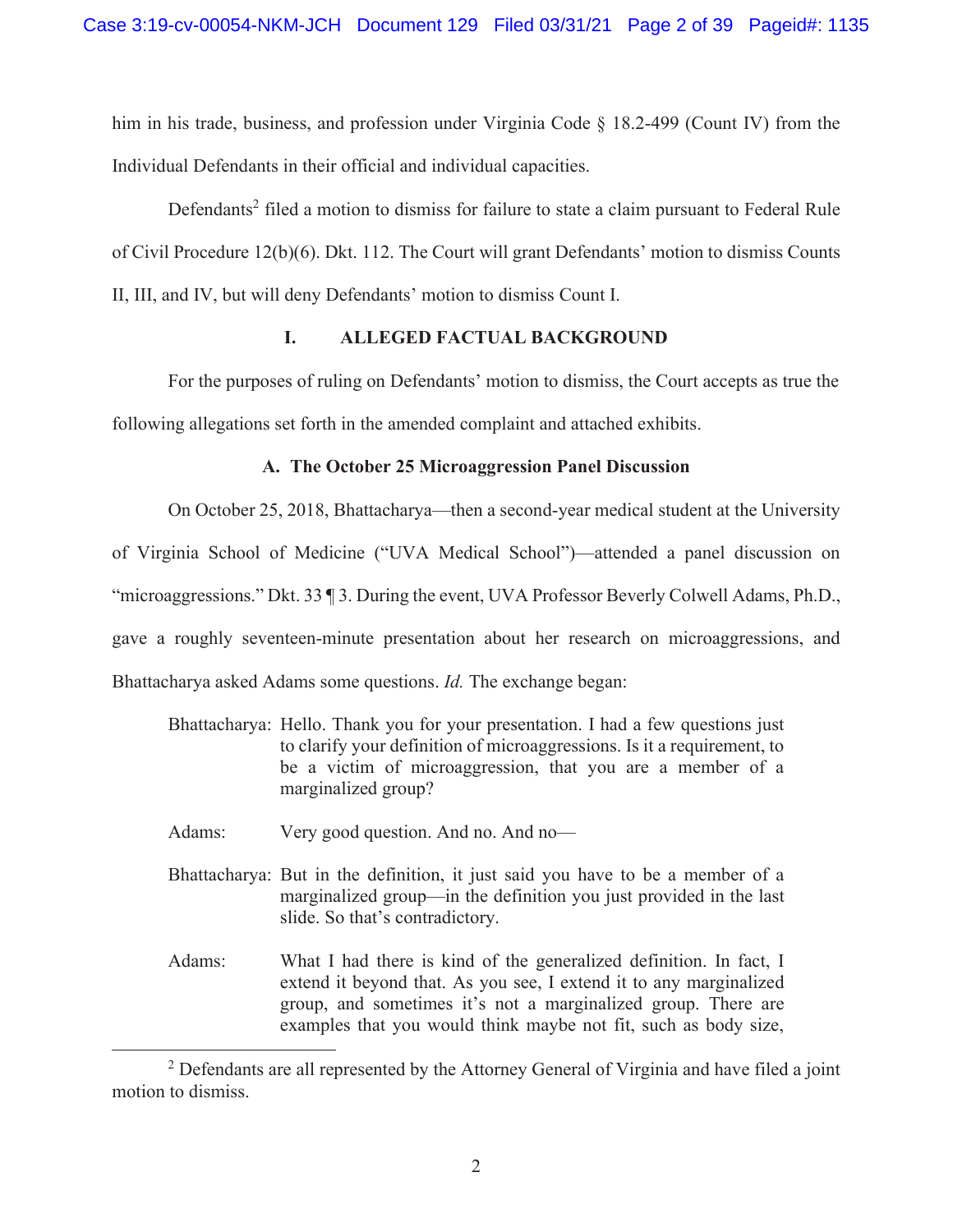him in his trade, business, and profession under Virginia Code  $\S$  18.2-499 (Count IV) from the Individual Defendants in their official and individual capacities.

Defendants<sup>2</sup> filed a motion to dismiss for failure to state a claim pursuant to Federal Rule of Civil Procedure 12(b)(6). Dkt. 112. The Court will grant Defendants' motion to dismiss Counts II, III, and IV, but will deny Defendants' motion to dismiss Count I.

# **I. ALLEGED FACTUAL BACKGROUND**

For the purposes of ruling on Defendants' motion to dismiss, the Court accepts as true the following allegations set forth in the amended complaint and attached exhibits.

# **A. The October 25 Microaggression Panel Discussion**

On October 25, 2018, Bhattacharya—then a second-year medical student at the University

of Virginia School of Medicine ("UVA Medical School")—attended a panel discussion on

"microaggressions." Dkt. 33 ¶ 3. During the event, UVA Professor Beverly Colwell Adams, Ph.D.,

gave a roughly seventeen-minute presentation about her research on microaggressions, and

Bhattacharya asked Adams some questions. *Id.* The exchange began:

- Bhattacharya: Hello. Thank you for your presentation. I had a few questions just to clarify your definition of microaggressions. Is it a requirement, to be a victim of microaggression, that you are a member of a marginalized group?
- Adams: Very good question. And no. And no-
- Bhattacharya: But in the definition, it just said you have to be a member of a marginalized group—in the definition you just provided in the last slide. So that's contradictory.
- Adams: What I had there is kind of the generalized definition. In fact, I extend it beyond that. As you see, I extend it to any marginalized group, and sometimes it's not a marginalized group. There are examples that you would think maybe not fit, such as body size,

 $2$  Defendants are all represented by the Attorney General of Virginia and have filed a joint motion to dismiss.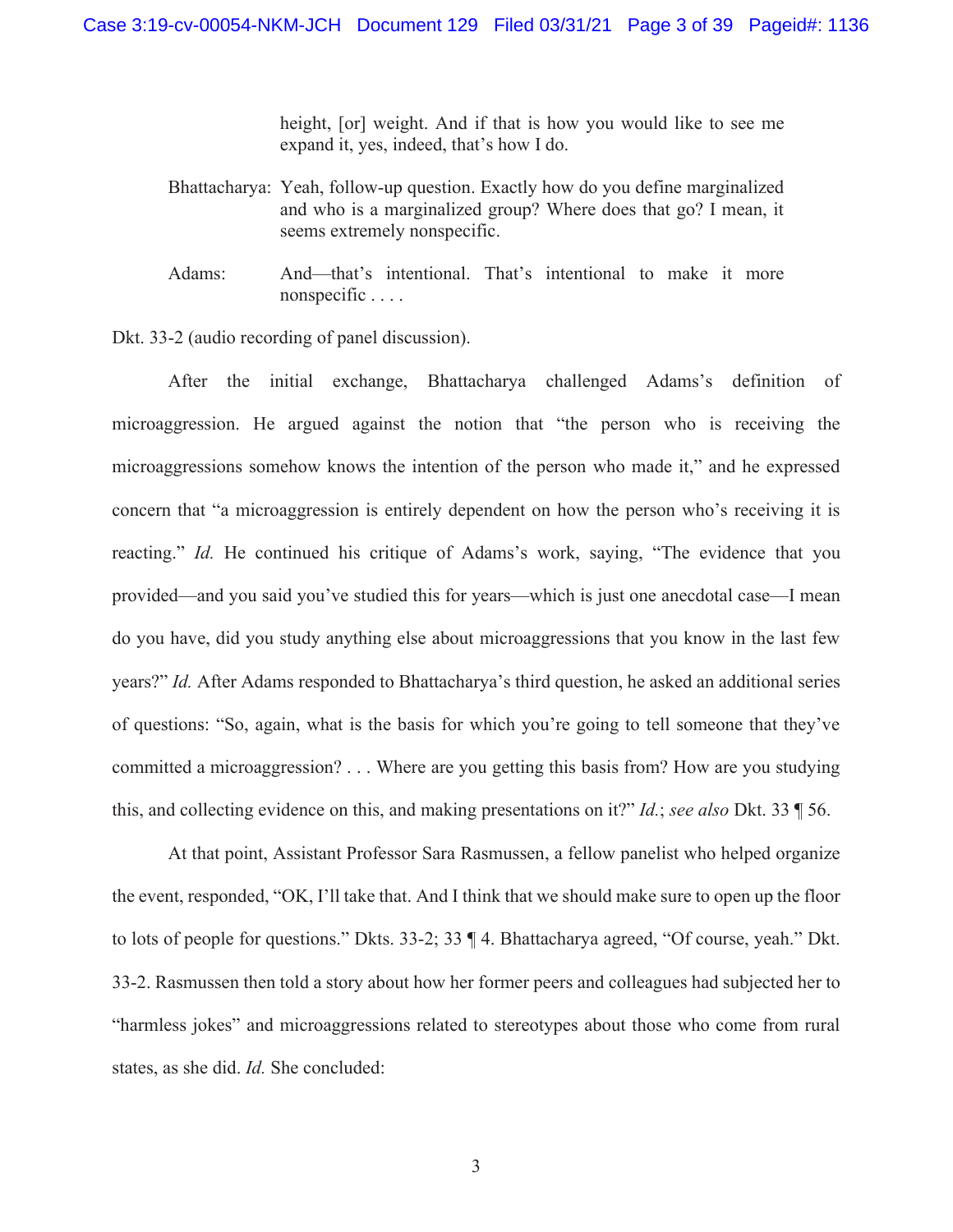height, [or] weight. And if that is how you would like to see me expand it, yes, indeed, that's how I do.

- Bhattacharya: Yeah, follow-up question. Exactly how do you define marginalized and who is a marginalized group? Where does that go? I mean, it seems extremely nonspecific.
- Adams: And—that's intentional. That's intentional to make it more nonspecific . . . .

Dkt. 33-2 (audio recording of panel discussion).

After the initial exchange, Bhattacharya challenged Adams's definition of microaggression. He argued against the notion that "the person who is receiving the microaggressions somehow knows the intention of the person who made it," and he expressed concern that "a microaggression is entirely dependent on how the person who's receiving it is reacting." *Id.* He continued his critique of Adams's work, saying, "The evidence that you provided—and you said you've studied this for years—which is just one anecdotal case—I mean do you have, did you study anything else about microaggressions that you know in the last few years?" *Id.* After Adams responded to Bhattacharya's third question, he asked an additional series of questions: "So, again, what is the basis for which you're going to tell someone that they've committed a microaggression? . . . Where are you getting this basis from? How are you studying this, and collecting evidence on this, and making presentations on it?" *Id.*; *see also* Dkt. 33 ¶ 56.

 At that point, Assistant Professor Sara Rasmussen, a fellow panelist who helped organize the event, responded, "OK, I'll take that. And I think that we should make sure to open up the floor to lots of people for questions." Dkts. 33-2; 33 ¶ 4. Bhattacharya agreed, "Of course, yeah." Dkt. 33-2. Rasmussen then told a story about how her former peers and colleagues had subjected her to "harmless jokes" and microaggressions related to stereotypes about those who come from rural states, as she did. *Id.* She concluded: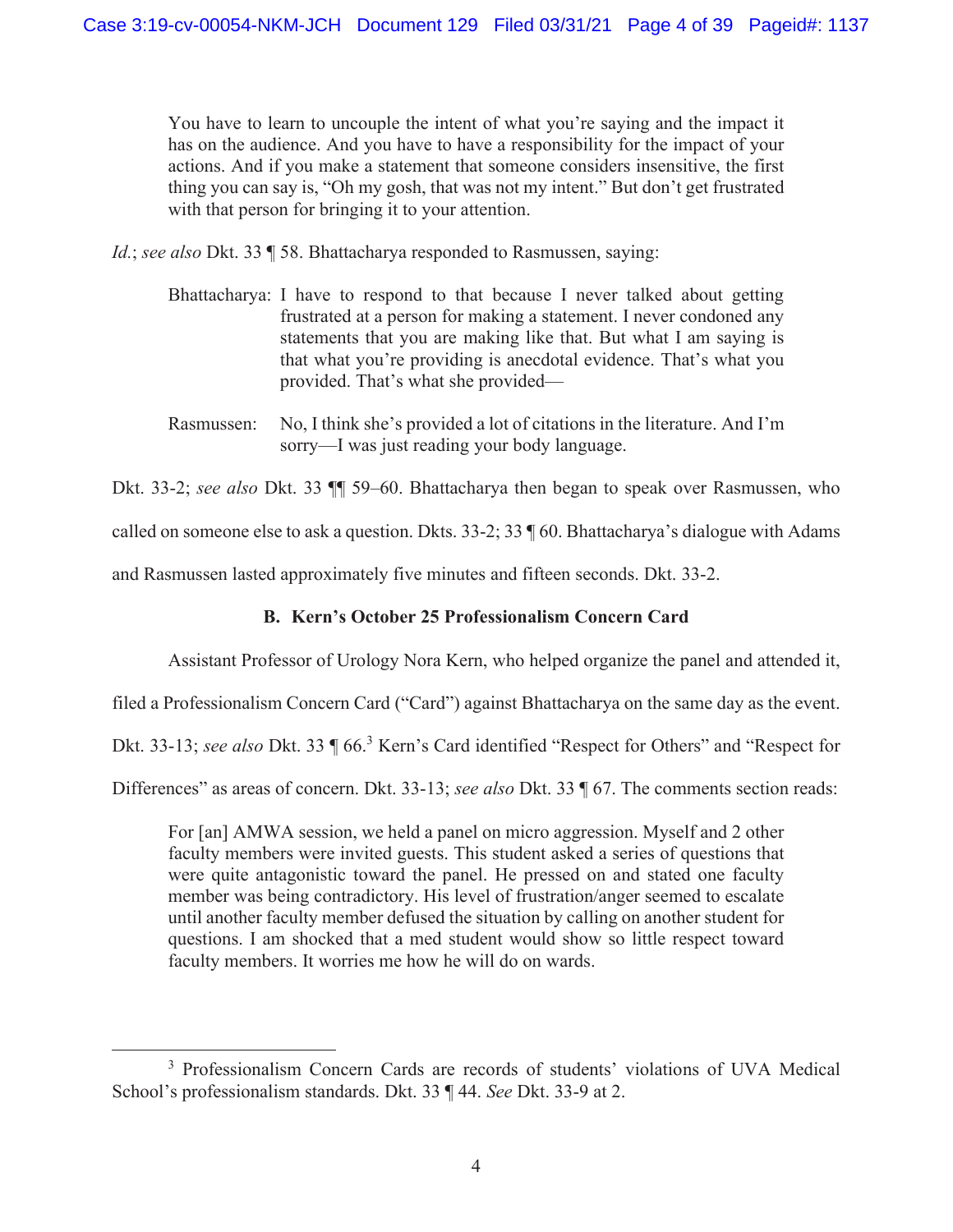You have to learn to uncouple the intent of what you're saying and the impact it has on the audience. And you have to have a responsibility for the impact of your actions. And if you make a statement that someone considers insensitive, the first thing you can say is, "Oh my gosh, that was not my intent." But don't get frustrated with that person for bringing it to your attention.

*Id.*; *see also* Dkt. 33 ¶ 58. Bhattacharya responded to Rasmussen, saying:

- Bhattacharya: I have to respond to that because I never talked about getting frustrated at a person for making a statement. I never condoned any statements that you are making like that. But what I am saying is that what you're providing is anecdotal evidence. That's what you provided. That's what she provided—
- Rasmussen: No, I think she's provided a lot of citations in the literature. And I'm sorry—I was just reading your body language.

Dkt. 33-2; *see also* Dkt. 33 ¶¶ 59–60. Bhattacharya then began to speak over Rasmussen, who

called on someone else to ask a question. Dkts. 33-2; 33 ¶ 60. Bhattacharya's dialogue with Adams

and Rasmussen lasted approximately five minutes and fifteen seconds. Dkt. 33-2.

# **B. Kern's October 25 Professionalism Concern Card**

Assistant Professor of Urology Nora Kern, who helped organize the panel and attended it,

filed a Professionalism Concern Card ("Card") against Bhattacharya on the same day as the event.

Dkt. 33-13; *see also* Dkt. 33 ¶ 66.<sup>3</sup> Kern's Card identified "Respect for Others" and "Respect for

Differences" as areas of concern. Dkt. 33-13; *see also* Dkt. 33 ¶ 67. The comments section reads:

For [an] AMWA session, we held a panel on micro aggression. Myself and 2 other faculty members were invited guests. This student asked a series of questions that were quite antagonistic toward the panel. He pressed on and stated one faculty member was being contradictory. His level of frustration/anger seemed to escalate until another faculty member defused the situation by calling on another student for questions. I am shocked that a med student would show so little respect toward faculty members. It worries me how he will do on wards.

<sup>3</sup> Professionalism Concern Cards are records of students' violations of UVA Medical School's professionalism standards. Dkt. 33 ¶ 44. *See* Dkt. 33-9 at 2.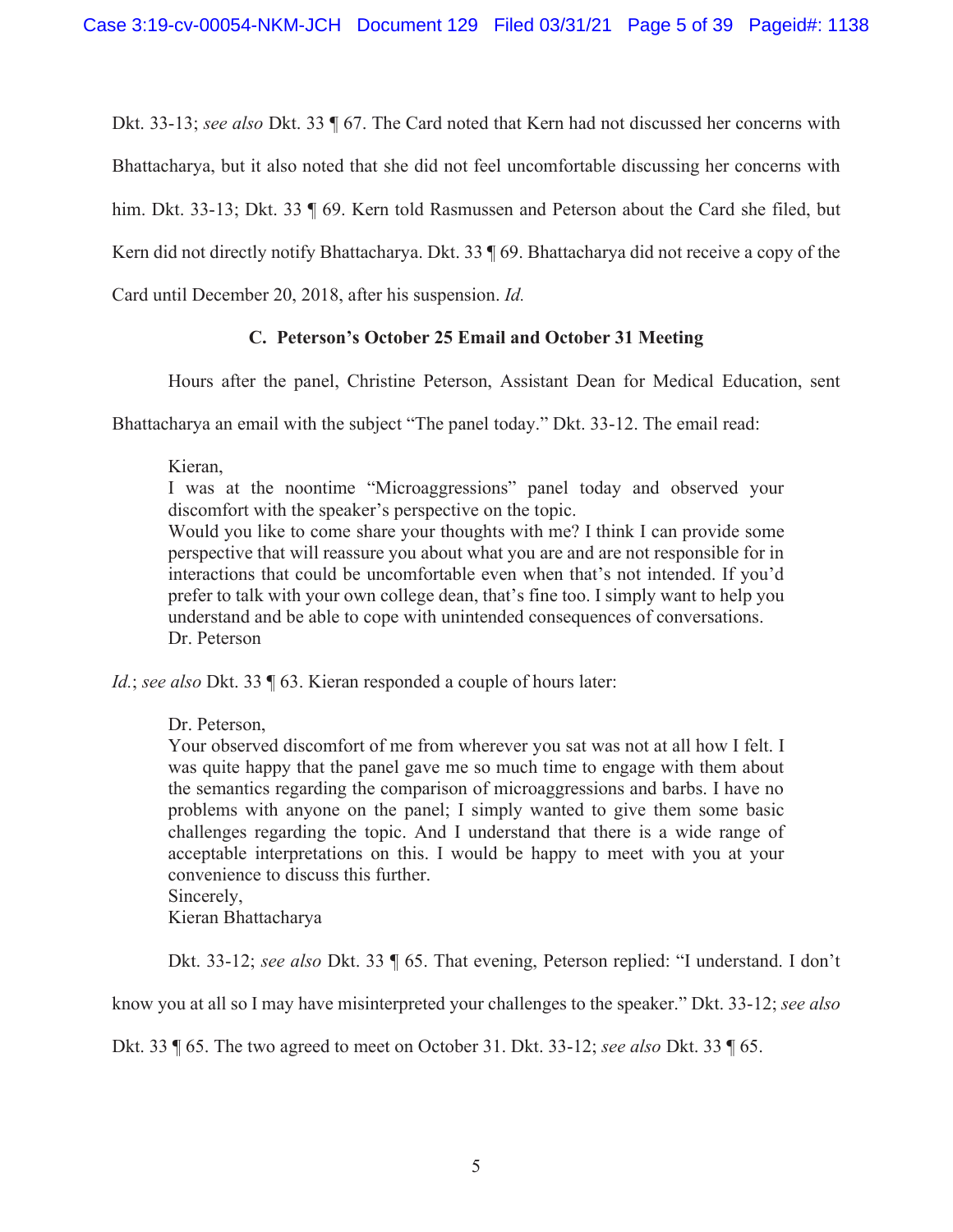Dkt. 33-13; *see also* Dkt. 33 ¶ 67. The Card noted that Kern had not discussed her concerns with

Bhattacharya, but it also noted that she did not feel uncomfortable discussing her concerns with

him. Dkt. 33-13; Dkt. 33 ¶ 69. Kern told Rasmussen and Peterson about the Card she filed, but

Kern did not directly notify Bhattacharya. Dkt. 33 ¶ 69. Bhattacharya did not receive a copy of the

Card until December 20, 2018, after his suspension. *Id.* 

# **C. Peterson's October 25 Email and October 31 Meeting**

Hours after the panel, Christine Peterson, Assistant Dean for Medical Education, sent

Bhattacharya an email with the subject "The panel today." Dkt. 33-12. The email read:

Kieran,

I was at the noontime "Microaggressions" panel today and observed your discomfort with the speaker's perspective on the topic.

Would you like to come share your thoughts with me? I think I can provide some perspective that will reassure you about what you are and are not responsible for in interactions that could be uncomfortable even when that's not intended. If you'd prefer to talk with your own college dean, that's fine too. I simply want to help you understand and be able to cope with unintended consequences of conversations. Dr. Peterson

*Id.*; *see also* Dkt. 33 ¶ 63. Kieran responded a couple of hours later:

Dr. Peterson,

Your observed discomfort of me from wherever you sat was not at all how I felt. I was quite happy that the panel gave me so much time to engage with them about the semantics regarding the comparison of microaggressions and barbs. I have no problems with anyone on the panel; I simply wanted to give them some basic challenges regarding the topic. And I understand that there is a wide range of acceptable interpretations on this. I would be happy to meet with you at your convenience to discuss this further.

Sincerely,

Kieran Bhattacharya

Dkt. 33-12; *see also* Dkt. 33 ¶ 65. That evening, Peterson replied: "I understand. I don't

know you at all so I may have misinterpreted your challenges to the speaker." Dkt. 33-12; *see also* 

Dkt. 33 ¶ 65. The two agreed to meet on October 31. Dkt. 33-12; *see also* Dkt. 33 ¶ 65.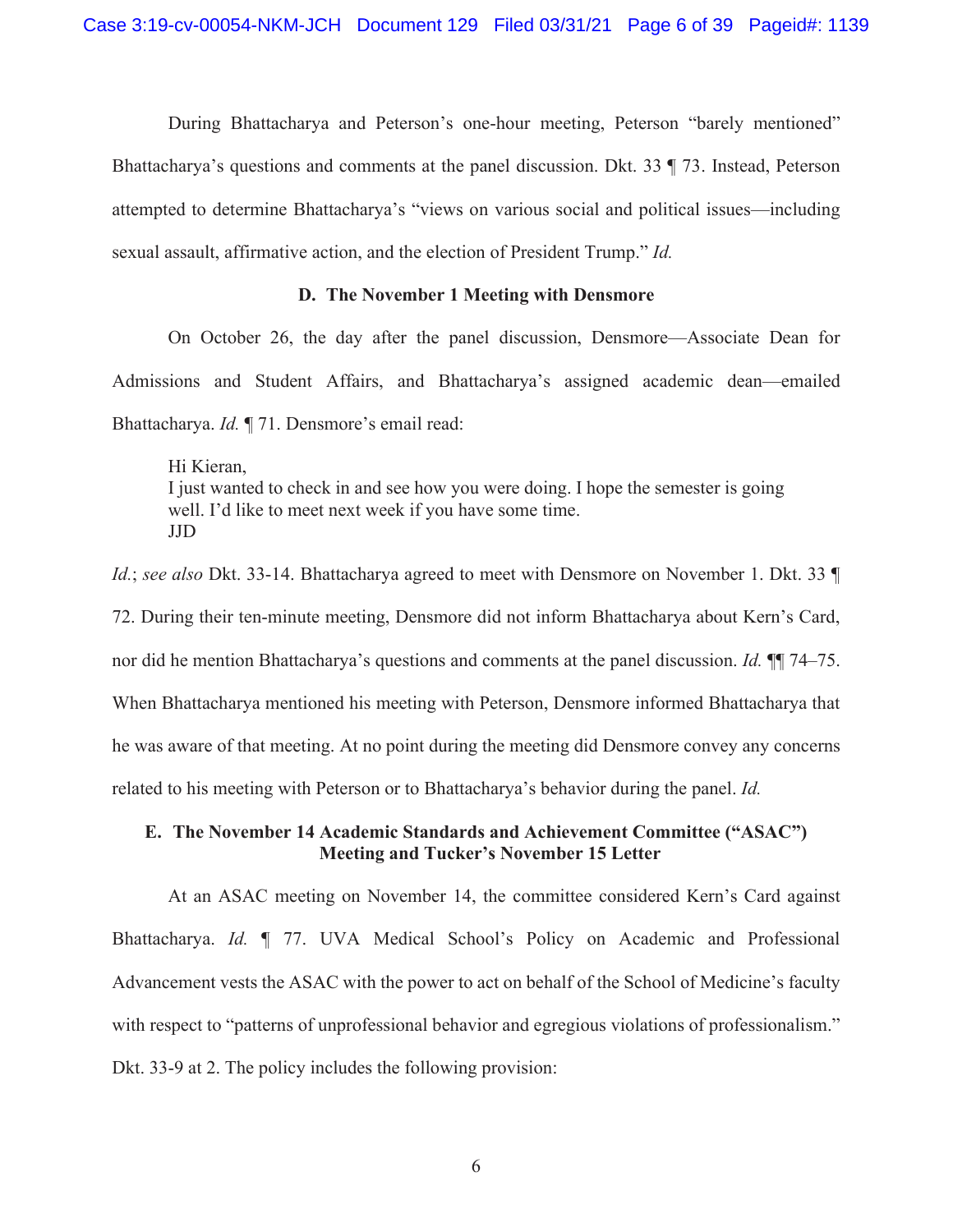During Bhattacharya and Peterson's one-hour meeting, Peterson "barely mentioned" Bhattacharya's questions and comments at the panel discussion. Dkt. 33 ¶ 73. Instead, Peterson attempted to determine Bhattacharya's "views on various social and political issues—including sexual assault, affirmative action, and the election of President Trump." *Id.*

#### **D. The November 1 Meeting with Densmore**

On October 26, the day after the panel discussion, Densmore—Associate Dean for Admissions and Student Affairs, and Bhattacharya's assigned academic dean—emailed Bhattacharya. *Id.* ¶ 71. Densmore's email read:

Hi Kieran, I just wanted to check in and see how you were doing. I hope the semester is going well. I'd like to meet next week if you have some time. JJD

*Id.*; *see also* Dkt. 33-14. Bhattacharya agreed to meet with Densmore on November 1. Dkt. 33 ¶ 72. During their ten-minute meeting, Densmore did not inform Bhattacharya about Kern's Card, nor did he mention Bhattacharya's questions and comments at the panel discussion. *Id.* ¶¶ 74–75. When Bhattacharya mentioned his meeting with Peterson, Densmore informed Bhattacharya that he was aware of that meeting. At no point during the meeting did Densmore convey any concerns related to his meeting with Peterson or to Bhattacharya's behavior during the panel. *Id.*

# **E. The November 14 Academic Standards and Achievement Committee ("ASAC") Meeting and Tucker's November 15 Letter**

At an ASAC meeting on November 14, the committee considered Kern's Card against Bhattacharya. *Id.* ¶ 77. UVA Medical School's Policy on Academic and Professional Advancement vests the ASAC with the power to act on behalf of the School of Medicine's faculty with respect to "patterns of unprofessional behavior and egregious violations of professionalism." Dkt. 33-9 at 2. The policy includes the following provision: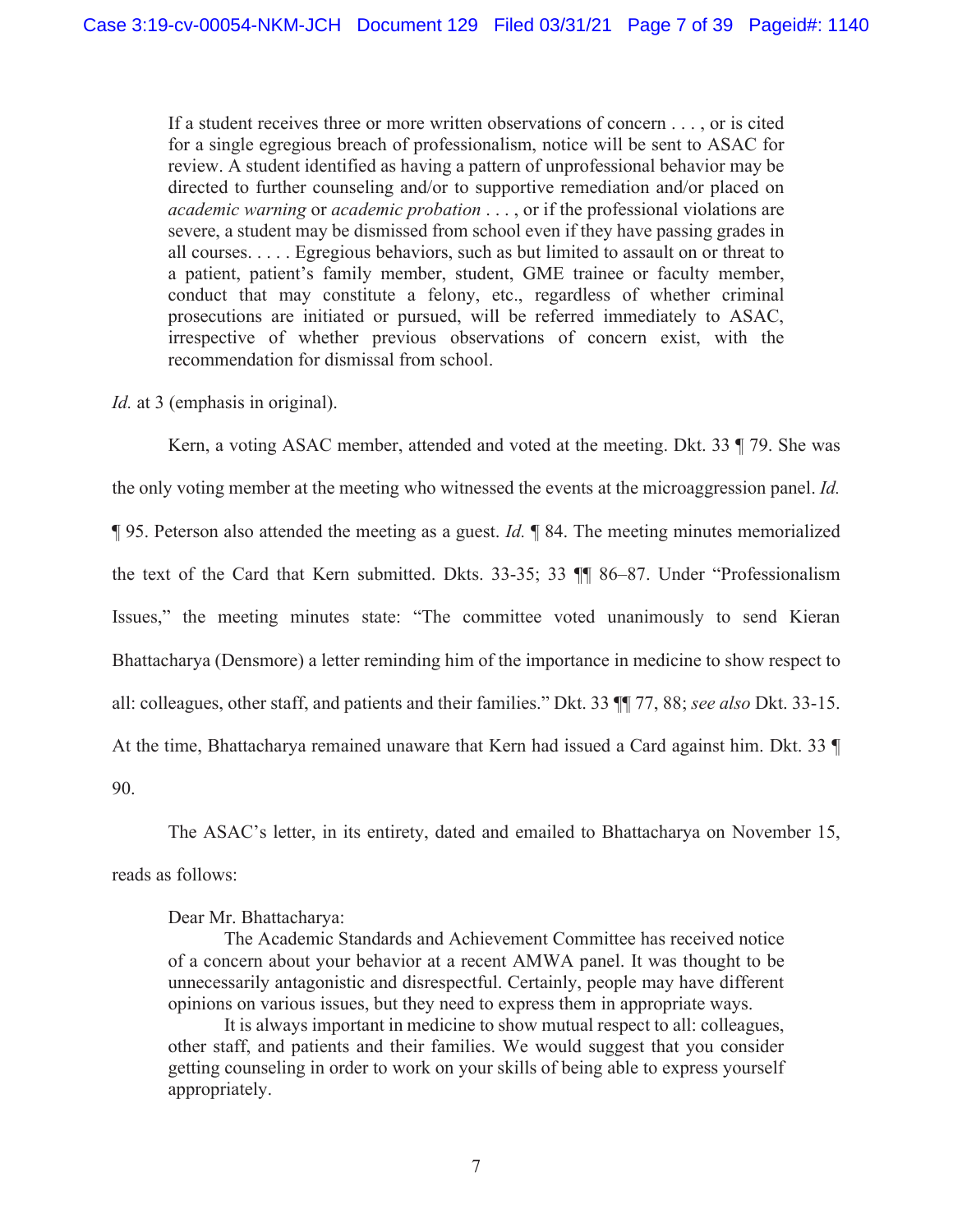If a student receives three or more written observations of concern . . . , or is cited for a single egregious breach of professionalism, notice will be sent to ASAC for review. A student identified as having a pattern of unprofessional behavior may be directed to further counseling and/or to supportive remediation and/or placed on *academic warning* or *academic probation* . . . , or if the professional violations are severe, a student may be dismissed from school even if they have passing grades in all courses. . . . . Egregious behaviors, such as but limited to assault on or threat to a patient, patient's family member, student, GME trainee or faculty member, conduct that may constitute a felony, etc., regardless of whether criminal prosecutions are initiated or pursued, will be referred immediately to ASAC, irrespective of whether previous observations of concern exist, with the recommendation for dismissal from school.

*Id.* at 3 (emphasis in original).

Kern, a voting ASAC member, attended and voted at the meeting. Dkt. 33 ¶ 79. She was the only voting member at the meeting who witnessed the events at the microaggression panel. *Id.*  ¶ 95. Peterson also attended the meeting as a guest. *Id.* ¶ 84. The meeting minutes memorialized the text of the Card that Kern submitted. Dkts. 33-35; 33 ¶¶ 86–87. Under "Professionalism Issues," the meeting minutes state: "The committee voted unanimously to send Kieran Bhattacharya (Densmore) a letter reminding him of the importance in medicine to show respect to all: colleagues, other staff, and patients and their families." Dkt. 33 ¶¶ 77, 88; *see also* Dkt. 33-15. At the time, Bhattacharya remained unaware that Kern had issued a Card against him. Dkt. 33 ¶ 90.

The ASAC's letter, in its entirety, dated and emailed to Bhattacharya on November 15, reads as follows:

Dear Mr. Bhattacharya:

 The Academic Standards and Achievement Committee has received notice of a concern about your behavior at a recent AMWA panel. It was thought to be unnecessarily antagonistic and disrespectful. Certainly, people may have different opinions on various issues, but they need to express them in appropriate ways.

 It is always important in medicine to show mutual respect to all: colleagues, other staff, and patients and their families. We would suggest that you consider getting counseling in order to work on your skills of being able to express yourself appropriately.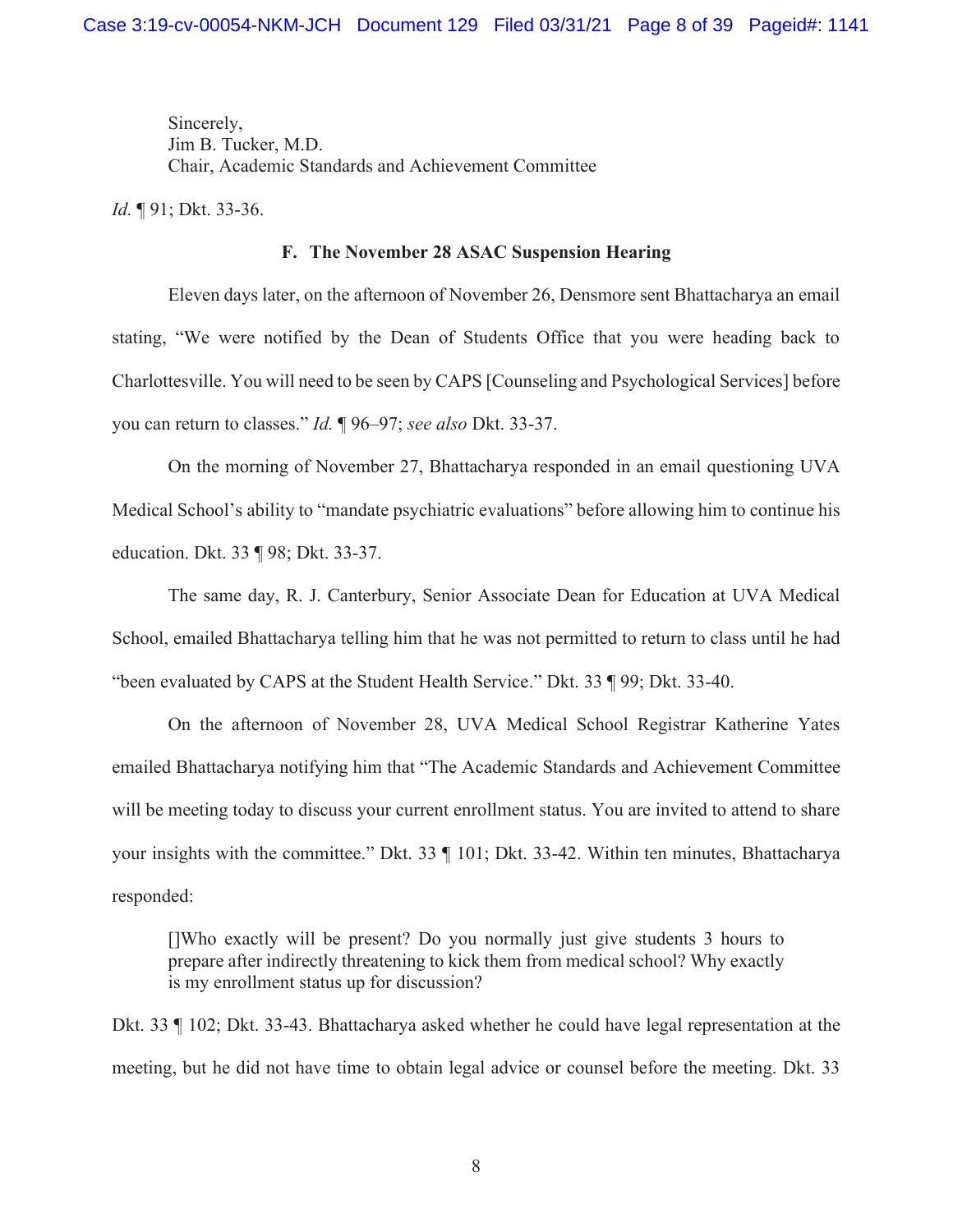Sincerely, Jim B. Tucker, M.D. Chair, Academic Standards and Achievement Committee

*Id.* ¶ 91; Dkt. 33-36.

#### **F. The November 28 ASAC Suspension Hearing**

Eleven days later, on the afternoon of November 26, Densmore sent Bhattacharya an email stating, "We were notified by the Dean of Students Office that you were heading back to Charlottesville. You will need to be seen by CAPS [Counseling and Psychological Services] before you can return to classes." *Id.* ¶ 96–97; *see also* Dkt. 33-37.

On the morning of November 27, Bhattacharya responded in an email questioning UVA Medical School's ability to "mandate psychiatric evaluations" before allowing him to continue his education. Dkt. 33 ¶ 98; Dkt. 33-37.

The same day, R. J. Canterbury, Senior Associate Dean for Education at UVA Medical School, emailed Bhattacharya telling him that he was not permitted to return to class until he had "been evaluated by CAPS at the Student Health Service." Dkt. 33 ¶ 99; Dkt. 33-40.

 On the afternoon of November 28, UVA Medical School Registrar Katherine Yates emailed Bhattacharya notifying him that "The Academic Standards and Achievement Committee will be meeting today to discuss your current enrollment status. You are invited to attend to share your insights with the committee." Dkt. 33 ¶ 101; Dkt. 33-42. Within ten minutes, Bhattacharya responded:

[]Who exactly will be present? Do you normally just give students 3 hours to prepare after indirectly threatening to kick them from medical school? Why exactly is my enrollment status up for discussion?

Dkt. 33 ¶ 102; Dkt. 33-43. Bhattacharya asked whether he could have legal representation at the meeting, but he did not have time to obtain legal advice or counsel before the meeting. Dkt. 33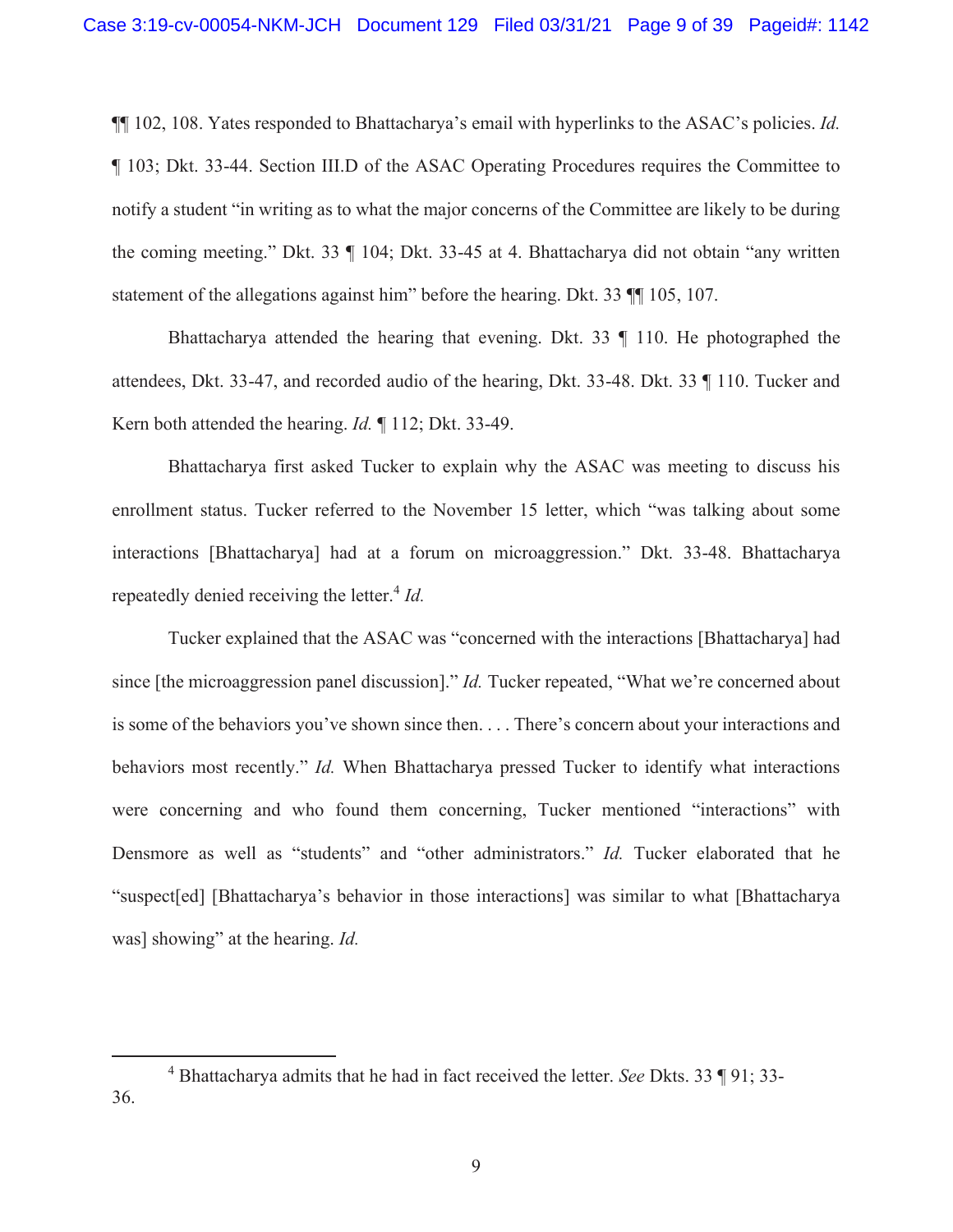¶¶ 102, 108. Yates responded to Bhattacharya's email with hyperlinks to the ASAC's policies. *Id.*  ¶ 103; Dkt. 33-44. Section III.D of the ASAC Operating Procedures requires the Committee to notify a student "in writing as to what the major concerns of the Committee are likely to be during the coming meeting." Dkt. 33 ¶ 104; Dkt. 33-45 at 4. Bhattacharya did not obtain "any written statement of the allegations against him" before the hearing. Dkt. 33 ¶¶ 105, 107.

 Bhattacharya attended the hearing that evening. Dkt. 33 ¶ 110. He photographed the attendees, Dkt. 33-47, and recorded audio of the hearing, Dkt. 33-48. Dkt. 33 ¶ 110. Tucker and Kern both attended the hearing. *Id.* ¶ 112; Dkt. 33-49.

Bhattacharya first asked Tucker to explain why the ASAC was meeting to discuss his enrollment status. Tucker referred to the November 15 letter, which "was talking about some interactions [Bhattacharya] had at a forum on microaggression." Dkt. 33-48. Bhattacharya repeatedly denied receiving the letter.<sup>4</sup> *Id.* 

Tucker explained that the ASAC was "concerned with the interactions [Bhattacharya] had since [the microaggression panel discussion]." *Id.* Tucker repeated, "What we're concerned about is some of the behaviors you've shown since then. . . . There's concern about your interactions and behaviors most recently." *Id.* When Bhattacharya pressed Tucker to identify what interactions were concerning and who found them concerning, Tucker mentioned "interactions" with Densmore as well as "students" and "other administrators." *Id.* Tucker elaborated that he "suspect[ed] [Bhattacharya's behavior in those interactions] was similar to what [Bhattacharya was] showing" at the hearing. *Id.*

<sup>4</sup> Bhattacharya admits that he had in fact received the letter. *See* Dkts. 33 ¶ 91; 33- 36.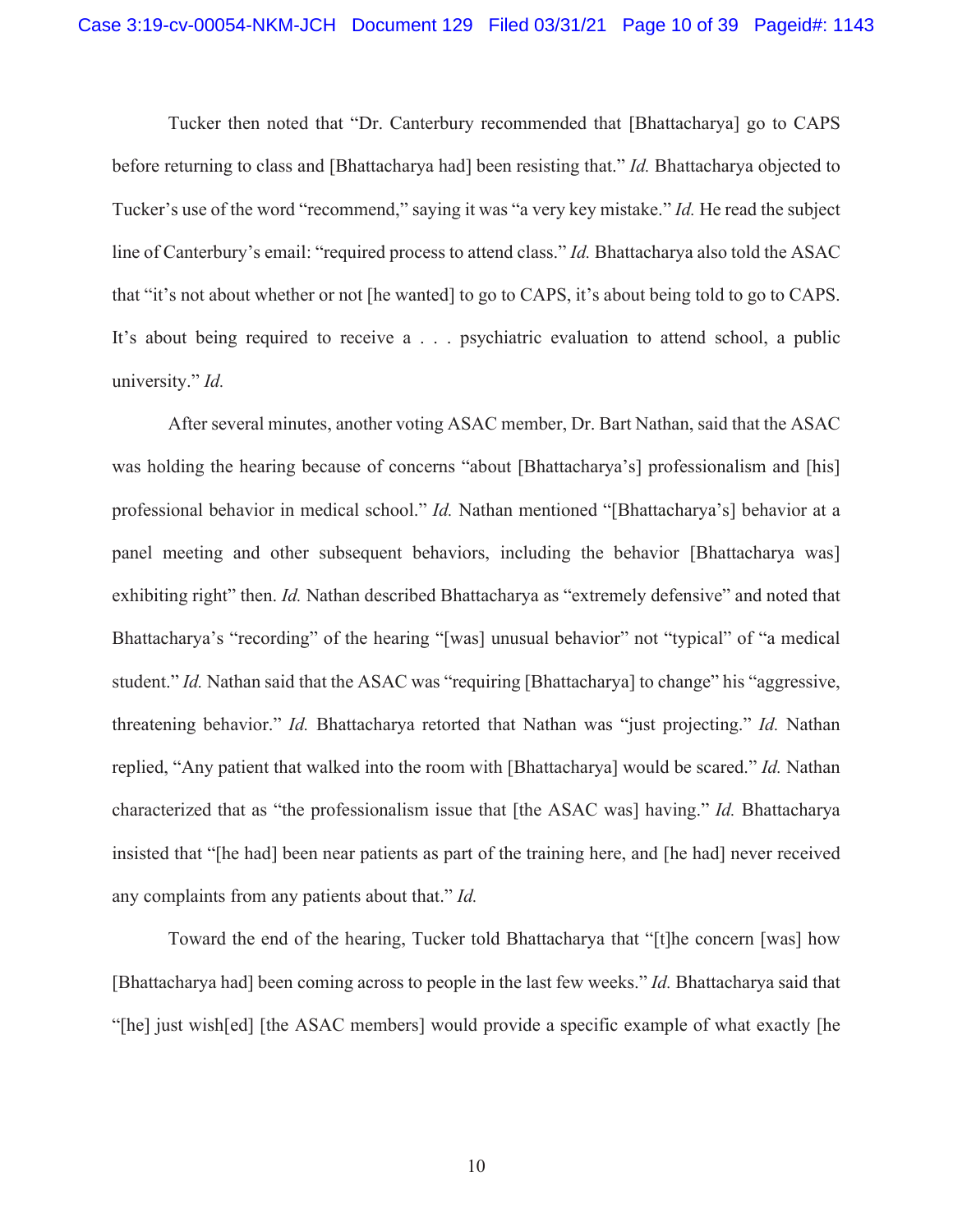Tucker then noted that "Dr. Canterbury recommended that [Bhattacharya] go to CAPS before returning to class and [Bhattacharya had] been resisting that." *Id.* Bhattacharya objected to Tucker's use of the word "recommend," saying it was "a very key mistake." *Id.* He read the subject line of Canterbury's email: "required process to attend class." *Id.* Bhattacharya also told the ASAC that "it's not about whether or not [he wanted] to go to CAPS, it's about being told to go to CAPS. It's about being required to receive a . . . psychiatric evaluation to attend school, a public university." *Id.*

After several minutes, another voting ASAC member, Dr. Bart Nathan, said that the ASAC was holding the hearing because of concerns "about [Bhattacharya's] professionalism and [his] professional behavior in medical school." *Id.* Nathan mentioned "[Bhattacharya's] behavior at a panel meeting and other subsequent behaviors, including the behavior [Bhattacharya was] exhibiting right" then. *Id.* Nathan described Bhattacharya as "extremely defensive" and noted that Bhattacharya's "recording" of the hearing "[was] unusual behavior" not "typical" of "a medical student." *Id.* Nathan said that the ASAC was "requiring [Bhattacharya] to change" his "aggressive, threatening behavior." *Id.* Bhattacharya retorted that Nathan was "just projecting." *Id.* Nathan replied, "Any patient that walked into the room with [Bhattacharya] would be scared." *Id.* Nathan characterized that as "the professionalism issue that [the ASAC was] having." *Id.* Bhattacharya insisted that "[he had] been near patients as part of the training here, and [he had] never received any complaints from any patients about that." *Id.* 

Toward the end of the hearing, Tucker told Bhattacharya that "[t]he concern [was] how [Bhattacharya had] been coming across to people in the last few weeks." *Id.* Bhattacharya said that "[he] just wish[ed] [the ASAC members] would provide a specific example of what exactly [he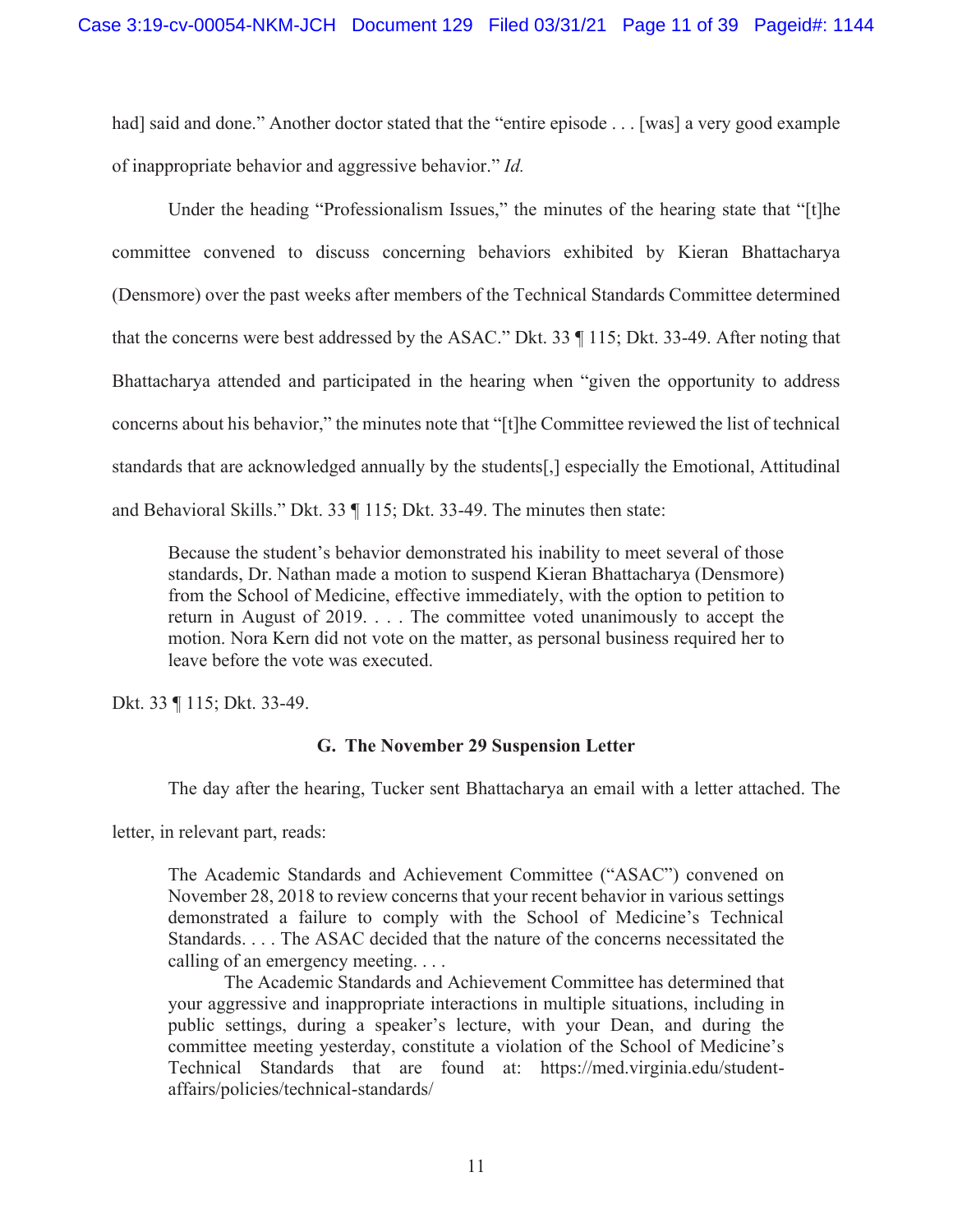had] said and done." Another doctor stated that the "entire episode . . . [was] a very good example of inappropriate behavior and aggressive behavior." *Id.*

Under the heading "Professionalism Issues," the minutes of the hearing state that "[t]he committee convened to discuss concerning behaviors exhibited by Kieran Bhattacharya (Densmore) over the past weeks after members of the Technical Standards Committee determined that the concerns were best addressed by the ASAC." Dkt. 33 ¶ 115; Dkt. 33-49. After noting that Bhattacharya attended and participated in the hearing when "given the opportunity to address concerns about his behavior," the minutes note that "[t]he Committee reviewed the list of technical standards that are acknowledged annually by the students[,] especially the Emotional, Attitudinal and Behavioral Skills." Dkt. 33 ¶ 115; Dkt. 33-49. The minutes then state:

Because the student's behavior demonstrated his inability to meet several of those standards, Dr. Nathan made a motion to suspend Kieran Bhattacharya (Densmore) from the School of Medicine, effective immediately, with the option to petition to return in August of 2019. . . . The committee voted unanimously to accept the motion. Nora Kern did not vote on the matter, as personal business required her to leave before the vote was executed.

Dkt. 33 ¶ 115; Dkt. 33-49.

# **G. The November 29 Suspension Letter**

The day after the hearing, Tucker sent Bhattacharya an email with a letter attached. The

letter, in relevant part, reads:

The Academic Standards and Achievement Committee ("ASAC") convened on November 28, 2018 to review concerns that your recent behavior in various settings demonstrated a failure to comply with the School of Medicine's Technical Standards. . . . The ASAC decided that the nature of the concerns necessitated the calling of an emergency meeting. . . .

 The Academic Standards and Achievement Committee has determined that your aggressive and inappropriate interactions in multiple situations, including in public settings, during a speaker's lecture, with your Dean, and during the committee meeting yesterday, constitute a violation of the School of Medicine's Technical Standards that are found at: https://med.virginia.edu/studentaffairs/policies/technical-standards/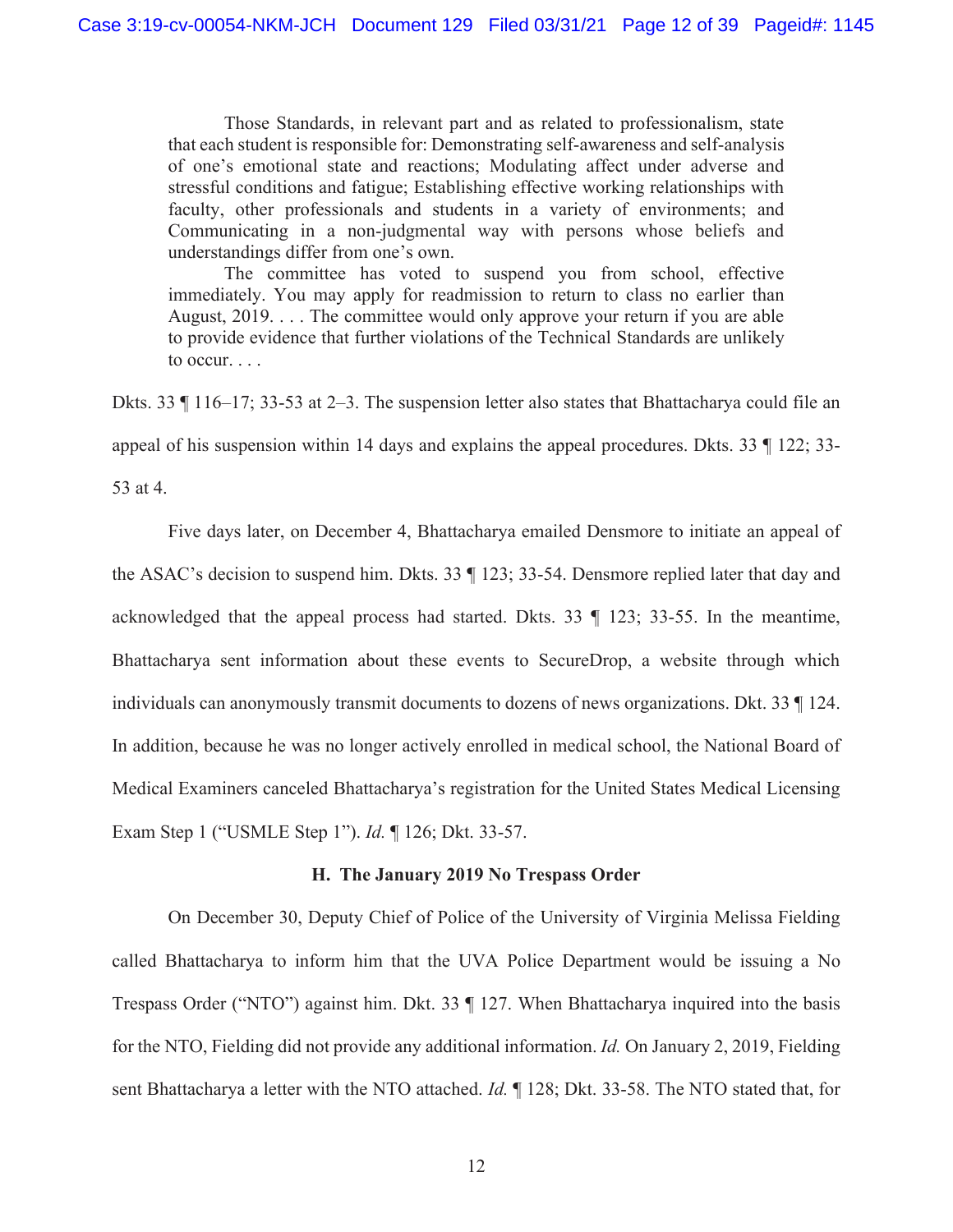Those Standards, in relevant part and as related to professionalism, state that each student is responsible for: Demonstrating self-awareness and self-analysis of one's emotional state and reactions; Modulating affect under adverse and stressful conditions and fatigue; Establishing effective working relationships with faculty, other professionals and students in a variety of environments; and Communicating in a non-judgmental way with persons whose beliefs and understandings differ from one's own.

 The committee has voted to suspend you from school, effective immediately. You may apply for readmission to return to class no earlier than August, 2019. . . . The committee would only approve your return if you are able to provide evidence that further violations of the Technical Standards are unlikely to occur. . . .

Dkts. 33 ¶ 116–17; 33-53 at 2–3. The suspension letter also states that Bhattacharya could file an appeal of his suspension within 14 days and explains the appeal procedures. Dkts. 33 ¶ 122; 33- 53 at 4.

 Five days later, on December 4, Bhattacharya emailed Densmore to initiate an appeal of the ASAC's decision to suspend him. Dkts. 33 ¶ 123; 33-54. Densmore replied later that day and acknowledged that the appeal process had started. Dkts. 33 ¶ 123; 33-55. In the meantime, Bhattacharya sent information about these events to SecureDrop, a website through which individuals can anonymously transmit documents to dozens of news organizations. Dkt. 33 ¶ 124. In addition, because he was no longer actively enrolled in medical school, the National Board of Medical Examiners canceled Bhattacharya's registration for the United States Medical Licensing Exam Step 1 ("USMLE Step 1"). *Id.* ¶ 126; Dkt. 33-57.

#### **H. The January 2019 No Trespass Order**

On December 30, Deputy Chief of Police of the University of Virginia Melissa Fielding called Bhattacharya to inform him that the UVA Police Department would be issuing a No Trespass Order ("NTO") against him. Dkt. 33 ¶ 127. When Bhattacharya inquired into the basis for the NTO, Fielding did not provide any additional information. *Id.* On January 2, 2019, Fielding sent Bhattacharya a letter with the NTO attached. *Id.* ¶ 128; Dkt. 33-58. The NTO stated that, for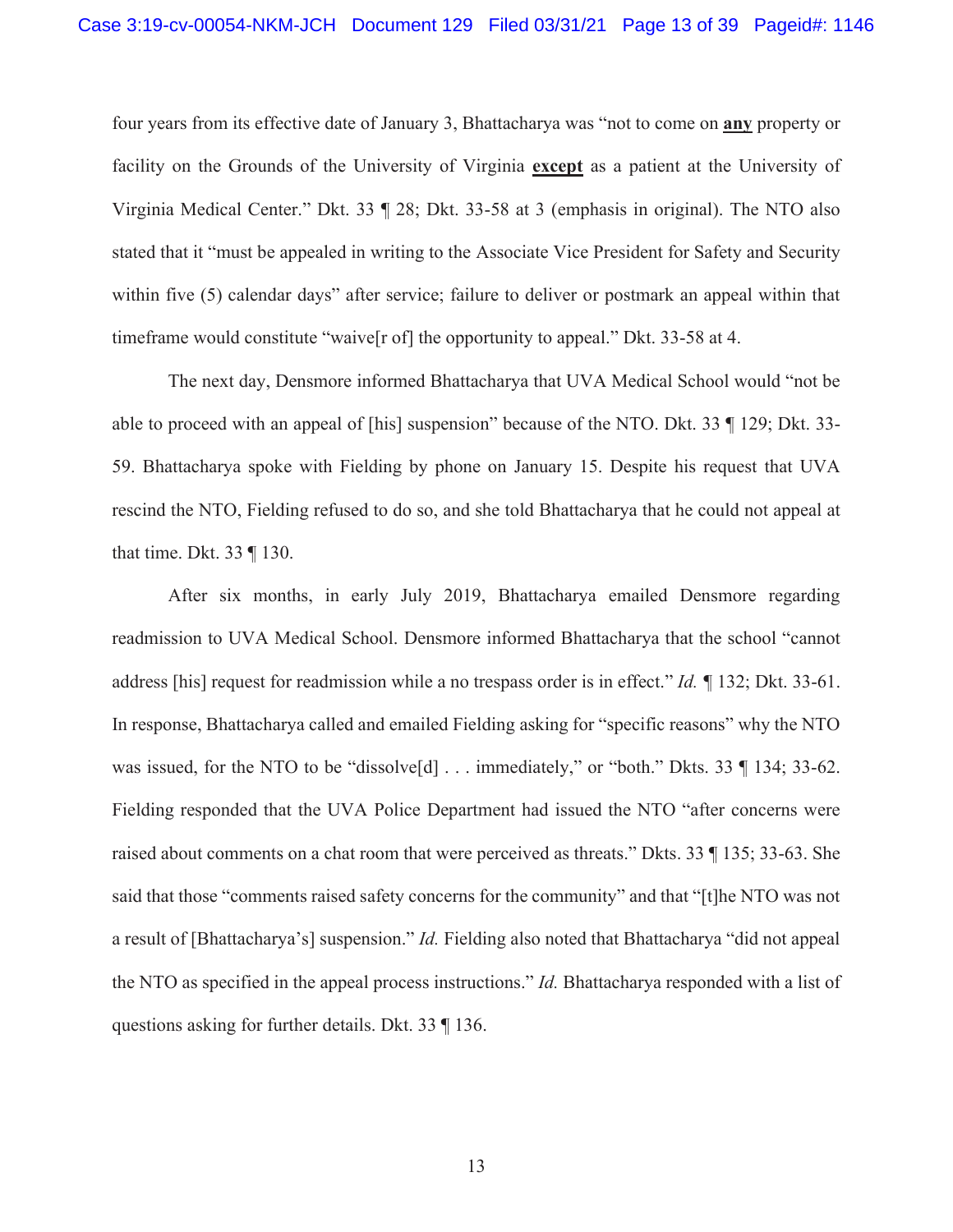four years from its effective date of January 3, Bhattacharya was "not to come on **any** property or facility on the Grounds of the University of Virginia **except** as a patient at the University of Virginia Medical Center." Dkt. 33 ¶ 28; Dkt. 33-58 at 3 (emphasis in original). The NTO also stated that it "must be appealed in writing to the Associate Vice President for Safety and Security within five (5) calendar days" after service; failure to deliver or postmark an appeal within that timeframe would constitute "waive[r of] the opportunity to appeal." Dkt. 33-58 at 4.

The next day, Densmore informed Bhattacharya that UVA Medical School would "not be able to proceed with an appeal of [his] suspension" because of the NTO. Dkt. 33 ¶ 129; Dkt. 33- 59. Bhattacharya spoke with Fielding by phone on January 15. Despite his request that UVA rescind the NTO, Fielding refused to do so, and she told Bhattacharya that he could not appeal at that time. Dkt. 33 ¶ 130.

After six months, in early July 2019, Bhattacharya emailed Densmore regarding readmission to UVA Medical School. Densmore informed Bhattacharya that the school "cannot address [his] request for readmission while a no trespass order is in effect." *Id. ¶* 132; Dkt. 33-61. In response, Bhattacharya called and emailed Fielding asking for "specific reasons" why the NTO was issued, for the NTO to be "dissolve<sup>[d]</sup> . . . immediately," or "both." Dkts. 33 ¶ 134; 33-62. Fielding responded that the UVA Police Department had issued the NTO "after concerns were raised about comments on a chat room that were perceived as threats." Dkts. 33 ¶ 135; 33-63. She said that those "comments raised safety concerns for the community" and that "[t]he NTO was not a result of [Bhattacharya's] suspension." *Id.* Fielding also noted that Bhattacharya "did not appeal the NTO as specified in the appeal process instructions." *Id.* Bhattacharya responded with a list of questions asking for further details. Dkt. 33 ¶ 136.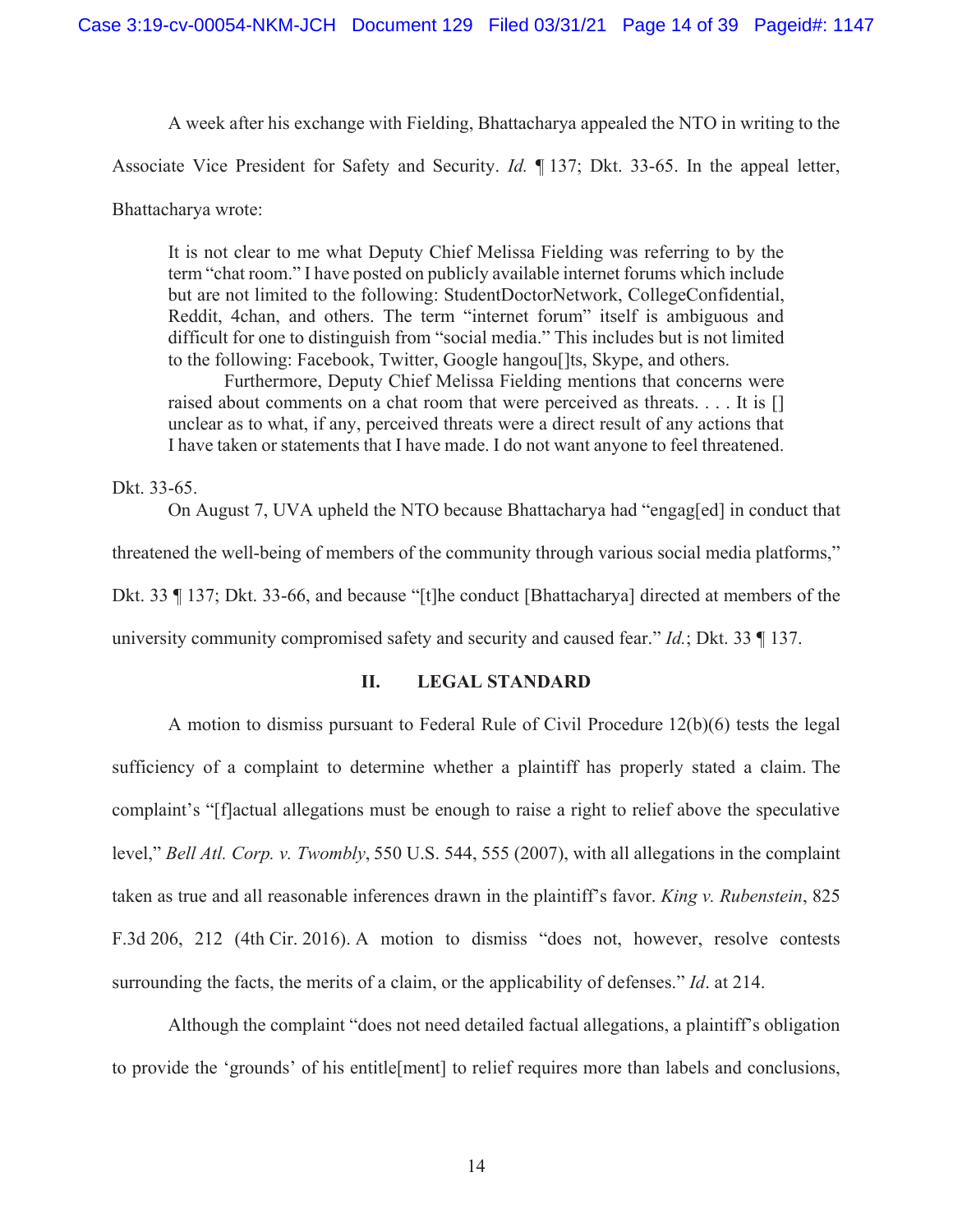A week after his exchange with Fielding, Bhattacharya appealed the NTO in writing to the

Associate Vice President for Safety and Security. *Id.* ¶ 137; Dkt. 33-65. In the appeal letter,

Bhattacharya wrote:

It is not clear to me what Deputy Chief Melissa Fielding was referring to by the term "chat room." I have posted on publicly available internet forums which include but are not limited to the following: StudentDoctorNetwork, CollegeConfidential, Reddit, 4chan, and others. The term "internet forum" itself is ambiguous and difficult for one to distinguish from "social media." This includes but is not limited to the following: Facebook, Twitter, Google hangoulls, Skype, and others.

Furthermore, Deputy Chief Melissa Fielding mentions that concerns were raised about comments on a chat room that were perceived as threats.  $\dots$  It is  $[]$ unclear as to what, if any, perceived threats were a direct result of any actions that I have taken or statements that I have made. I do not want anyone to feel threatened.

Dkt. 33-65.

On August 7, UVA upheld the NTO because Bhattacharya had "engag[ed] in conduct that threatened the well-being of members of the community through various social media platforms," Dkt. 33 ¶ 137; Dkt. 33-66, and because "[t]he conduct [Bhattacharya] directed at members of the university community compromised safety and security and caused fear." *Id.*; Dkt. 33 ¶ 137.

#### **II. LEGAL STANDARD**

A motion to dismiss pursuant to Federal Rule of Civil Procedure 12(b)(6) tests the legal sufficiency of a complaint to determine whether a plaintiff has properly stated a claim. The complaint's "[f]actual allegations must be enough to raise a right to relief above the speculative level," *Bell Atl. Corp. v. Twombly*, 550 U.S. 544, 555 (2007), with all allegations in the complaint taken as true and all reasonable inferences drawn in the plaintiff's favor. *King v. Rubenstein*, 825 F.3d 206, 212 (4th Cir. 2016). A motion to dismiss "does not, however, resolve contests surrounding the facts, the merits of a claim, or the applicability of defenses." *Id*. at 214.

Although the complaint "does not need detailed factual allegations, a plaintiff's obligation to provide the 'grounds' of his entitle[ment] to relief requires more than labels and conclusions,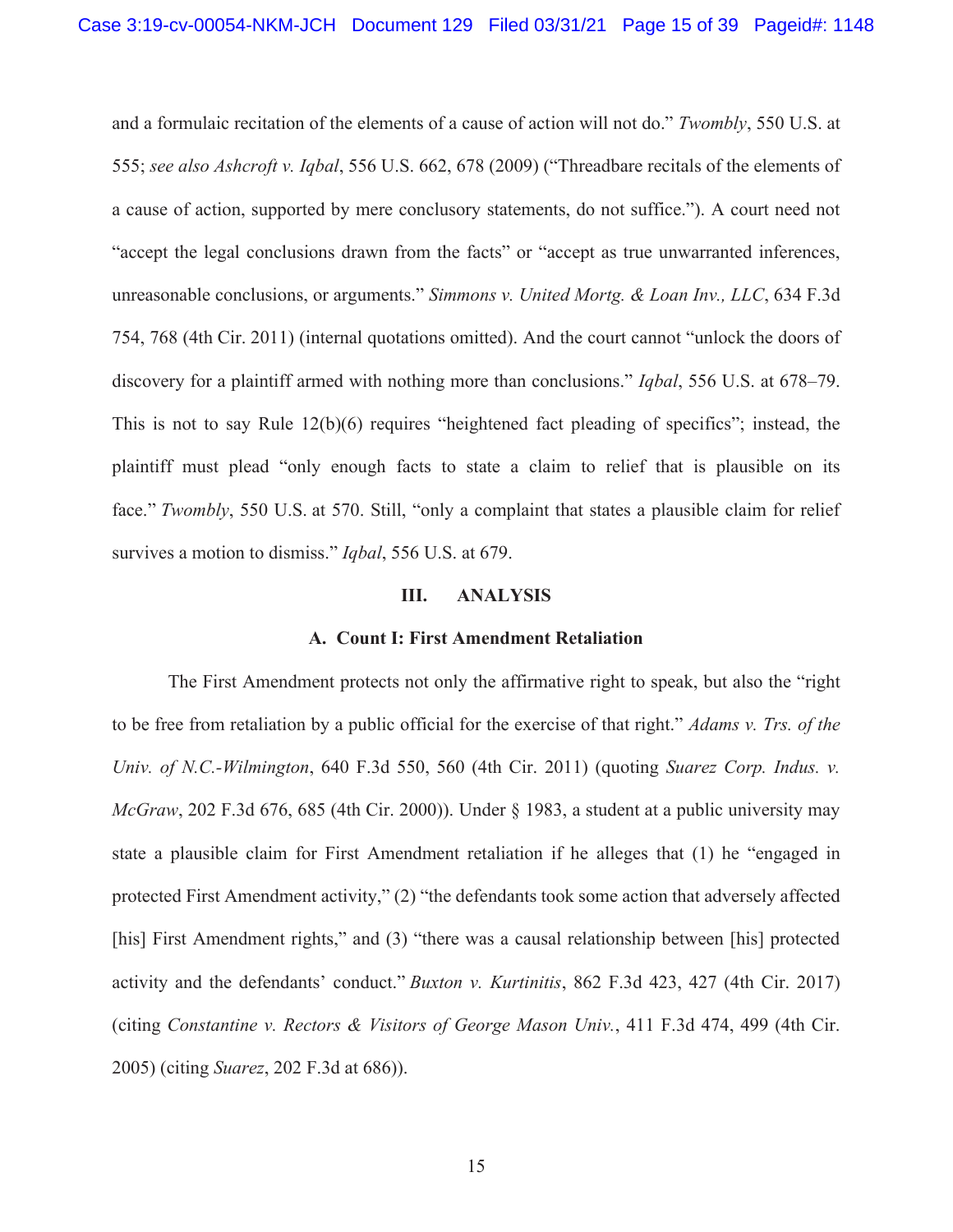and a formulaic recitation of the elements of a cause of action will not do." *Twombly*, 550 U.S. at 555; *see also Ashcroft v. Iqbal*, 556 U.S. 662, 678 (2009) ("Threadbare recitals of the elements of a cause of action, supported by mere conclusory statements, do not suffice."). A court need not "accept the legal conclusions drawn from the facts" or "accept as true unwarranted inferences, unreasonable conclusions, or arguments." *Simmons v. United Mortg. & Loan Inv., LLC*, 634 F.3d 754, 768 (4th Cir. 2011) (internal quotations omitted). And the court cannot "unlock the doors of discovery for a plaintiff armed with nothing more than conclusions." *Iqbal*, 556 U.S. at 678–79. This is not to say Rule 12(b)(6) requires "heightened fact pleading of specifics"; instead, the plaintiff must plead "only enough facts to state a claim to relief that is plausible on its face." *Twombly*, 550 U.S. at 570. Still, "only a complaint that states a plausible claim for relief survives a motion to dismiss." *Iqbal*, 556 U.S. at 679.

#### **III. ANALYSIS**

#### **A. Count I: First Amendment Retaliation**

The First Amendment protects not only the affirmative right to speak, but also the "right to be free from retaliation by a public official for the exercise of that right." *Adams v. Trs. of the Univ. of N.C.-Wilmington*, 640 F.3d 550, 560 (4th Cir. 2011) (quoting *Suarez Corp. Indus. v. McGraw*, 202 F.3d 676, 685 (4th Cir. 2000)). Under § 1983, a student at a public university may state a plausible claim for First Amendment retaliation if he alleges that (1) he "engaged in protected First Amendment activity," (2) "the defendants took some action that adversely affected [his] First Amendment rights," and (3) "there was a causal relationship between [his] protected activity and the defendants' conduct." *Buxton v. Kurtinitis*, 862 F.3d 423, 427 (4th Cir. 2017) (citing *Constantine v. Rectors & Visitors of George Mason Univ.*, 411 F.3d 474, 499 (4th Cir. 2005) (citing *Suarez*, 202 F.3d at 686)).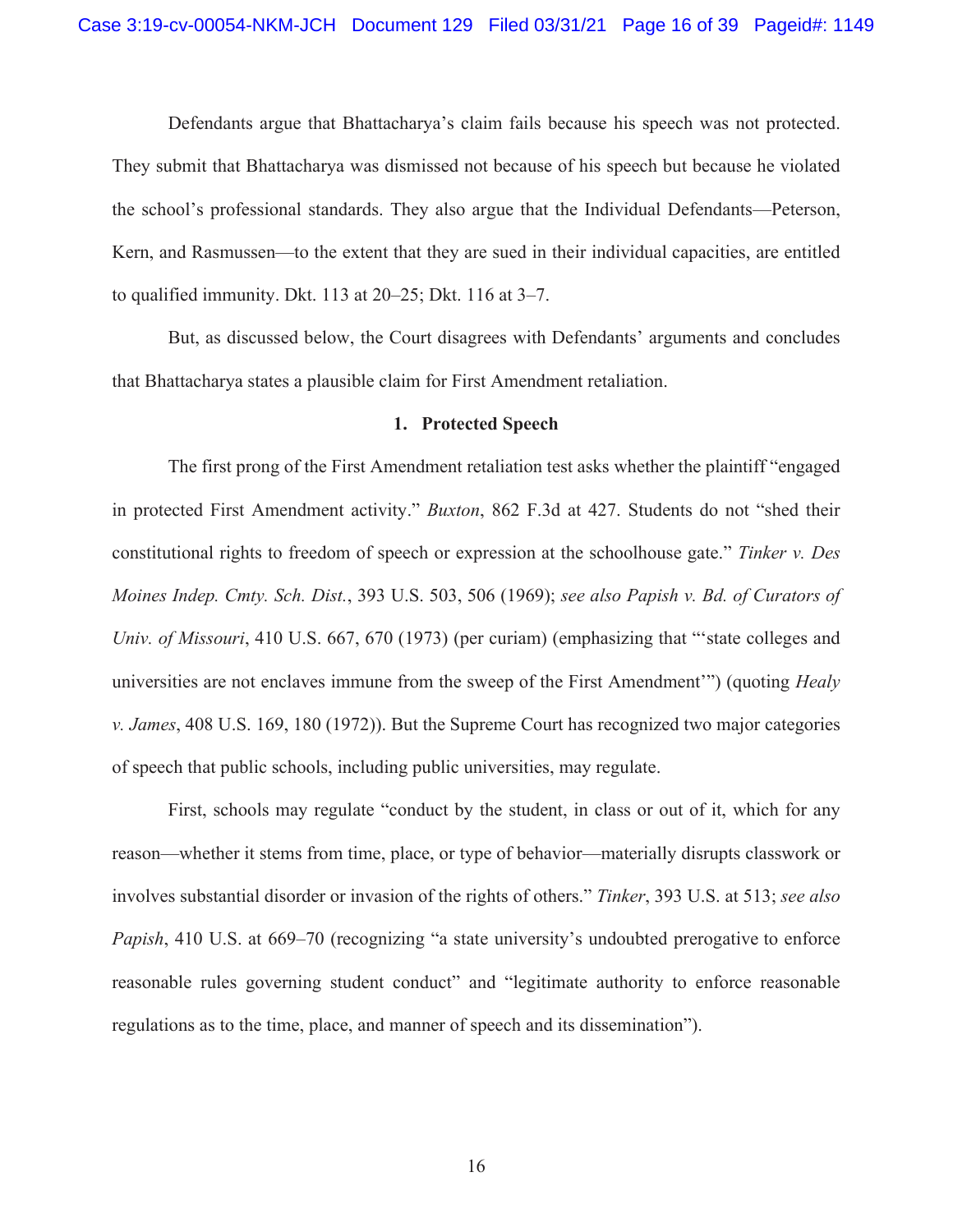Defendants argue that Bhattacharya's claim fails because his speech was not protected. They submit that Bhattacharya was dismissed not because of his speech but because he violated the school's professional standards. They also argue that the Individual Defendants—Peterson, Kern, and Rasmussen—to the extent that they are sued in their individual capacities, are entitled to qualified immunity. Dkt. 113 at 20–25; Dkt. 116 at 3–7.

But, as discussed below, the Court disagrees with Defendants' arguments and concludes that Bhattacharya states a plausible claim for First Amendment retaliation.

#### **1. Protected Speech**

The first prong of the First Amendment retaliation test asks whether the plaintiff "engaged in protected First Amendment activity." *Buxton*, 862 F.3d at 427. Students do not "shed their constitutional rights to freedom of speech or expression at the schoolhouse gate." *Tinker v. Des Moines Indep. Cmty. Sch. Dist.*, 393 U.S. 503, 506 (1969); *see also Papish v. Bd. of Curators of Univ. of Missouri*, 410 U.S. 667, 670 (1973) (per curiam) (emphasizing that "state colleges and universities are not enclaves immune from the sweep of the First Amendment'") (quoting *Healy v. James*, 408 U.S. 169, 180 (1972)). But the Supreme Court has recognized two major categories of speech that public schools, including public universities, may regulate.

First, schools may regulate "conduct by the student, in class or out of it, which for any reason—whether it stems from time, place, or type of behavior—materially disrupts classwork or involves substantial disorder or invasion of the rights of others." *Tinker*, 393 U.S. at 513; *see also Papish*, 410 U.S. at 669–70 (recognizing "a state university's undoubted prerogative to enforce reasonable rules governing student conduct" and "legitimate authority to enforce reasonable regulations as to the time, place, and manner of speech and its dissemination").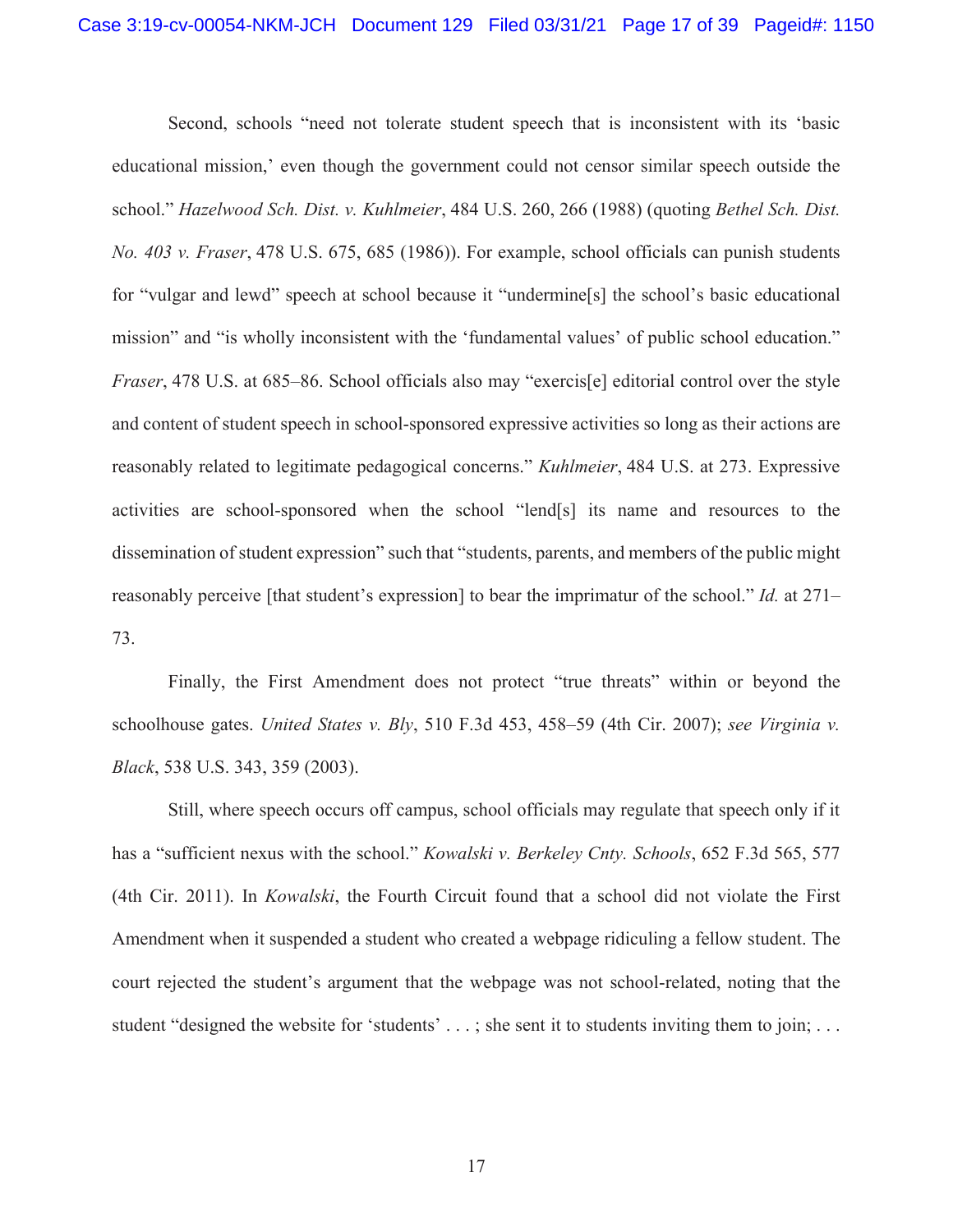Second, schools "need not tolerate student speech that is inconsistent with its 'basic educational mission,' even though the government could not censor similar speech outside the school." *Hazelwood Sch. Dist. v. Kuhlmeier*, 484 U.S. 260, 266 (1988) (quoting *Bethel Sch. Dist. No. 403 v. Fraser*, 478 U.S. 675, 685 (1986)). For example, school officials can punish students for "vulgar and lewd" speech at school because it "undermine[s] the school's basic educational mission" and "is wholly inconsistent with the 'fundamental values' of public school education." *Fraser*, 478 U.S. at 685–86. School officials also may "exercis<sup>[e]</sup> editorial control over the style and content of student speech in school-sponsored expressive activities so long as their actions are reasonably related to legitimate pedagogical concerns." *Kuhlmeier*, 484 U.S. at 273. Expressive activities are school-sponsored when the school "lend[s] its name and resources to the dissemination of student expression" such that "students, parents, and members of the public might reasonably perceive [that student's expression] to bear the imprimatur of the school." *Id.* at 271– 73.

Finally, the First Amendment does not protect "true threats" within or beyond the schoolhouse gates. *United States v. Bly*, 510 F.3d 453, 458–59 (4th Cir. 2007); *see Virginia v. Black*, 538 U.S. 343, 359 (2003).

Still, where speech occurs off campus, school officials may regulate that speech only if it has a "sufficient nexus with the school." *Kowalski v. Berkeley Cnty. Schools*, 652 F.3d 565, 577 (4th Cir. 2011). In *Kowalski*, the Fourth Circuit found that a school did not violate the First Amendment when it suspended a student who created a webpage ridiculing a fellow student. The court rejected the student's argument that the webpage was not school-related, noting that the student "designed the website for 'students' . . .; she sent it to students inviting them to join; . . .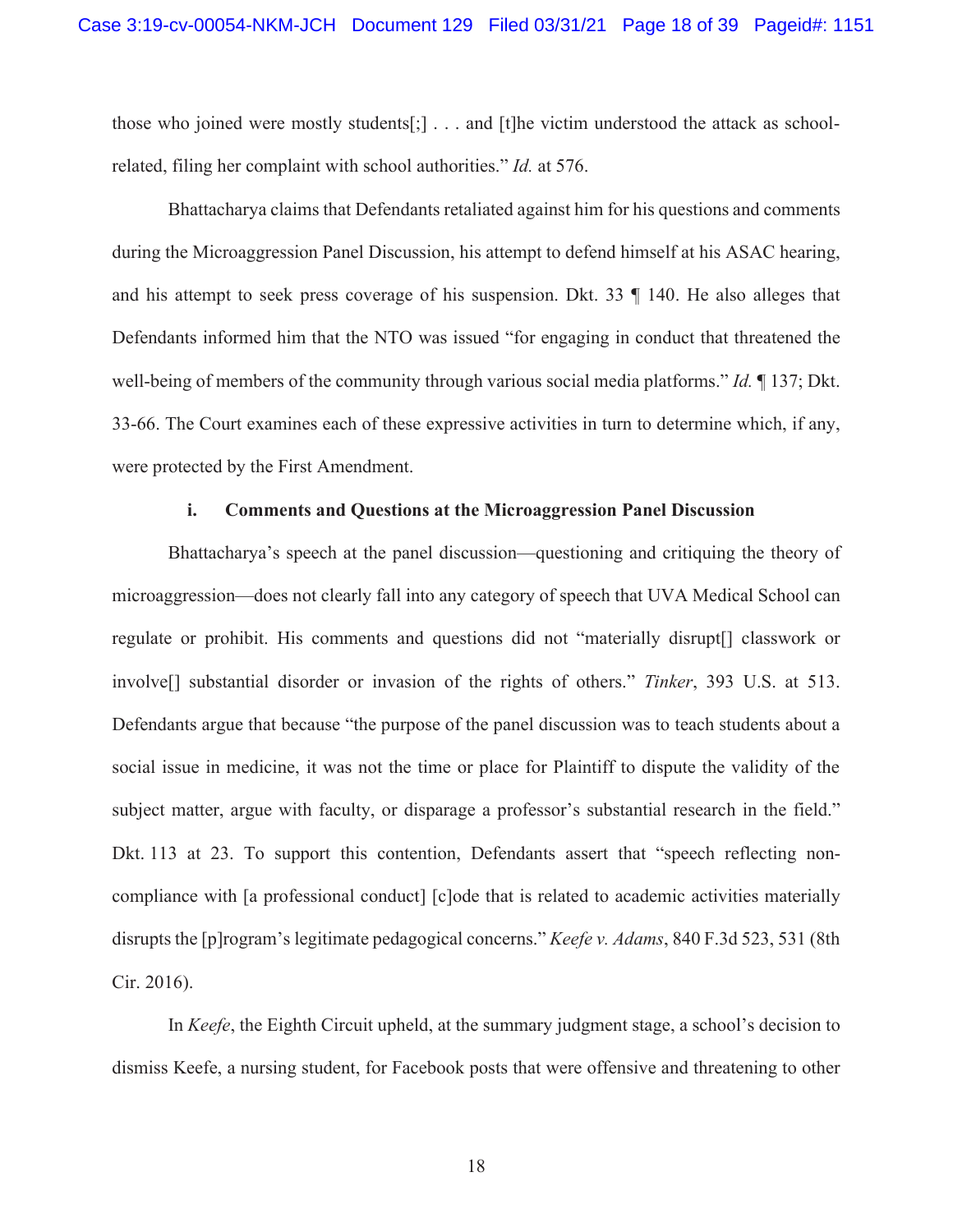those who joined were mostly students[;] . . . and [t]he victim understood the attack as schoolrelated, filing her complaint with school authorities." *Id.* at 576.

Bhattacharya claims that Defendants retaliated against him for his questions and comments during the Microaggression Panel Discussion, his attempt to defend himself at his ASAC hearing, and his attempt to seek press coverage of his suspension. Dkt. 33 ¶ 140. He also alleges that Defendants informed him that the NTO was issued "for engaging in conduct that threatened the well-being of members of the community through various social media platforms." *Id.* ¶ 137; Dkt. 33-66. The Court examines each of these expressive activities in turn to determine which, if any, were protected by the First Amendment.

#### **i. Comments and Questions at the Microaggression Panel Discussion**

Bhattacharya's speech at the panel discussion—questioning and critiquing the theory of microaggression—does not clearly fall into any category of speech that UVA Medical School can regulate or prohibit. His comments and questions did not "materially disrupt[] classwork or involve[] substantial disorder or invasion of the rights of others." *Tinker*, 393 U.S. at 513. Defendants argue that because "the purpose of the panel discussion was to teach students about a social issue in medicine, it was not the time or place for Plaintiff to dispute the validity of the subject matter, argue with faculty, or disparage a professor's substantial research in the field." Dkt. 113 at 23. To support this contention, Defendants assert that "speech reflecting noncompliance with [a professional conduct] [c]ode that is related to academic activities materially disrupts the [p]rogram's legitimate pedagogical concerns." *Keefe v. Adams*, 840 F.3d 523, 531 (8th Cir. 2016).

In *Keefe*, the Eighth Circuit upheld, at the summary judgment stage, a school's decision to dismiss Keefe, a nursing student, for Facebook posts that were offensive and threatening to other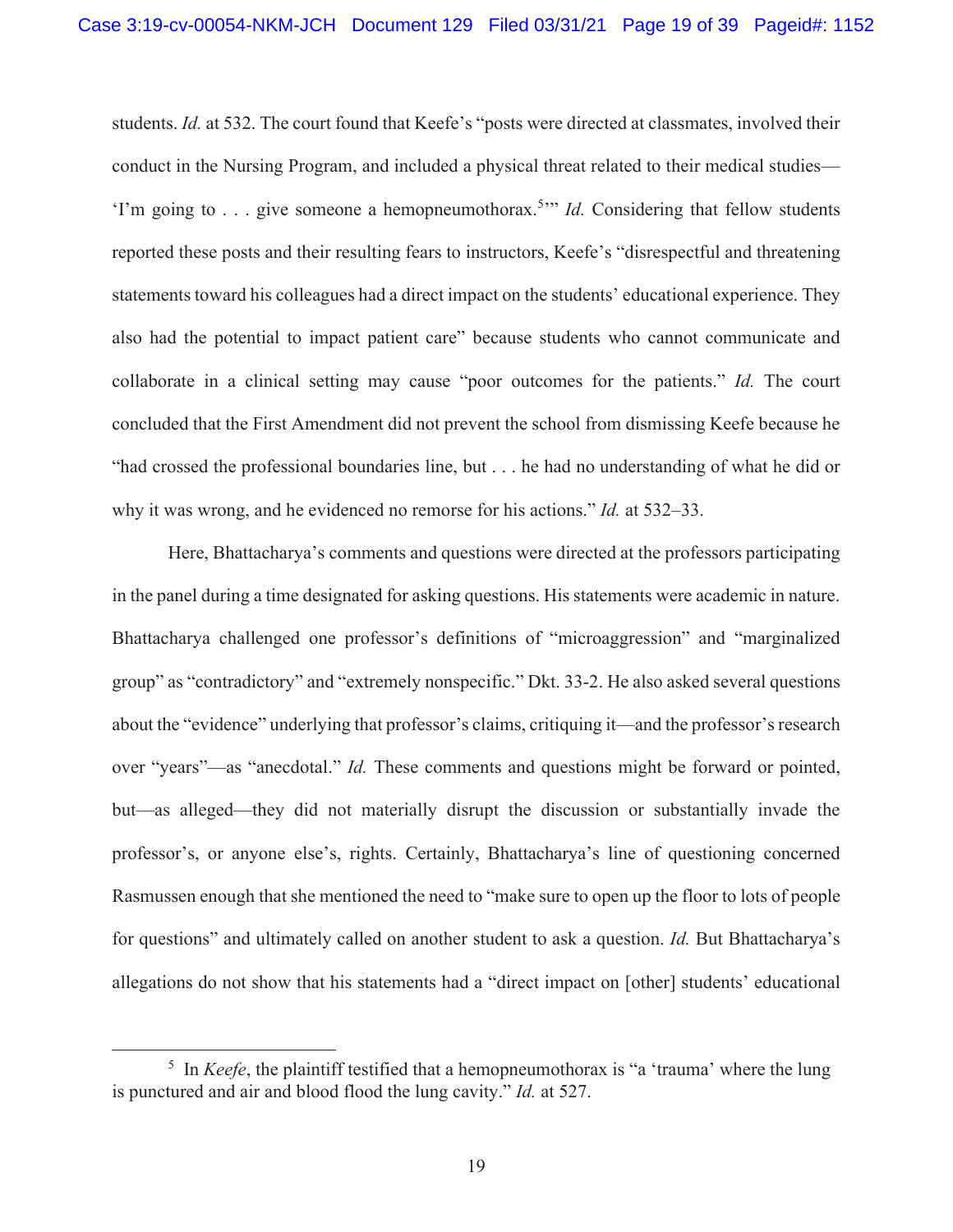students. *Id.* at 532. The court found that Keefe's "posts were directed at classmates, involved their conduct in the Nursing Program, and included a physical threat related to their medical studies— 'I'm going to . . . give someone a hemopneumothorax.<sup>5</sup>" *Id*. Considering that fellow students reported these posts and their resulting fears to instructors, Keefe's "disrespectful and threatening statements toward his colleagues had a direct impact on the students' educational experience. They also had the potential to impact patient care" because students who cannot communicate and collaborate in a clinical setting may cause "poor outcomes for the patients." *Id.* The court concluded that the First Amendment did not prevent the school from dismissing Keefe because he "had crossed the professional boundaries line, but . . . he had no understanding of what he did or why it was wrong, and he evidenced no remorse for his actions." *Id.* at 532–33.

Here, Bhattacharya's comments and questions were directed at the professors participating in the panel during a time designated for asking questions. His statements were academic in nature. Bhattacharya challenged one professor's definitions of "microaggression" and "marginalized group" as "contradictory" and "extremely nonspecific." Dkt. 33-2. He also asked several questions about the "evidence" underlying that professor's claims, critiquing it—and the professor's research over "years"—as "anecdotal." *Id.* These comments and questions might be forward or pointed, but—as alleged—they did not materially disrupt the discussion or substantially invade the professor's, or anyone else's, rights. Certainly, Bhattacharya's line of questioning concerned Rasmussen enough that she mentioned the need to "make sure to open up the floor to lots of people for questions" and ultimately called on another student to ask a question. *Id.* But Bhattacharya's allegations do not show that his statements had a "direct impact on [other] students' educational

<sup>&</sup>lt;sup>5</sup> In *Keefe*, the plaintiff testified that a hemopneumothorax is "a 'trauma' where the lung is punctured and air and blood flood the lung cavity." *Id.* at 527.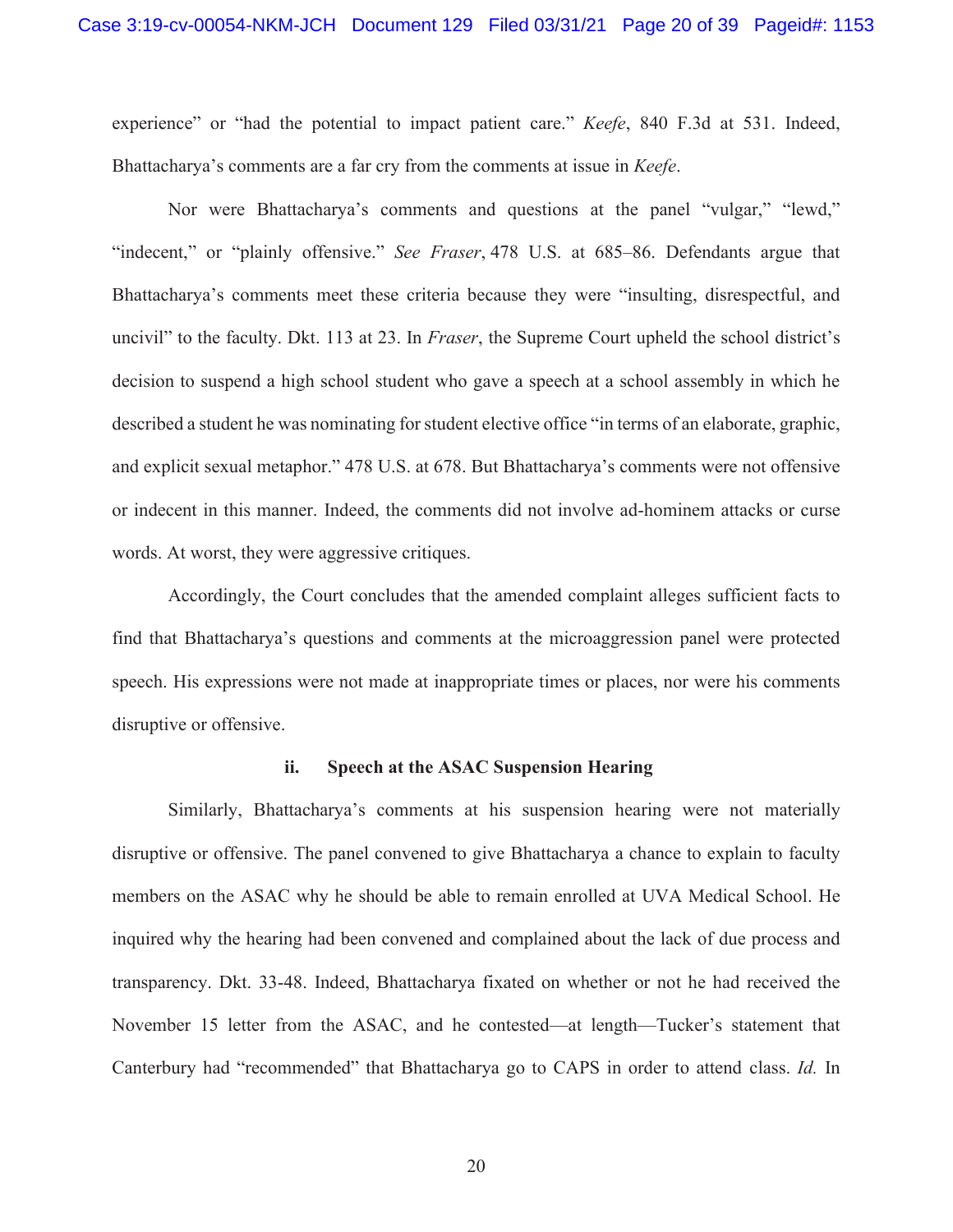experience" or "had the potential to impact patient care." *Keefe*, 840 F.3d at 531. Indeed, Bhattacharya's comments are a far cry from the comments at issue in *Keefe*.

Nor were Bhattacharya's comments and questions at the panel "vulgar," "lewd," "indecent," or "plainly offensive." *See Fraser*, 478 U.S. at 685–86. Defendants argue that Bhattacharya's comments meet these criteria because they were "insulting, disrespectful, and uncivil" to the faculty. Dkt. 113 at 23. In *Fraser*, the Supreme Court upheld the school district's decision to suspend a high school student who gave a speech at a school assembly in which he described a student he was nominating for student elective office "in terms of an elaborate, graphic, and explicit sexual metaphor." 478 U.S. at 678. But Bhattacharya's comments were not offensive or indecent in this manner. Indeed, the comments did not involve ad-hominem attacks or curse words. At worst, they were aggressive critiques.

Accordingly, the Court concludes that the amended complaint alleges sufficient facts to find that Bhattacharya's questions and comments at the microaggression panel were protected speech. His expressions were not made at inappropriate times or places, nor were his comments disruptive or offensive.

#### **ii. Speech at the ASAC Suspension Hearing**

Similarly, Bhattacharya's comments at his suspension hearing were not materially disruptive or offensive. The panel convened to give Bhattacharya a chance to explain to faculty members on the ASAC why he should be able to remain enrolled at UVA Medical School. He inquired why the hearing had been convened and complained about the lack of due process and transparency. Dkt. 33-48. Indeed, Bhattacharya fixated on whether or not he had received the November 15 letter from the ASAC, and he contested—at length—Tucker's statement that Canterbury had "recommended" that Bhattacharya go to CAPS in order to attend class. *Id.* In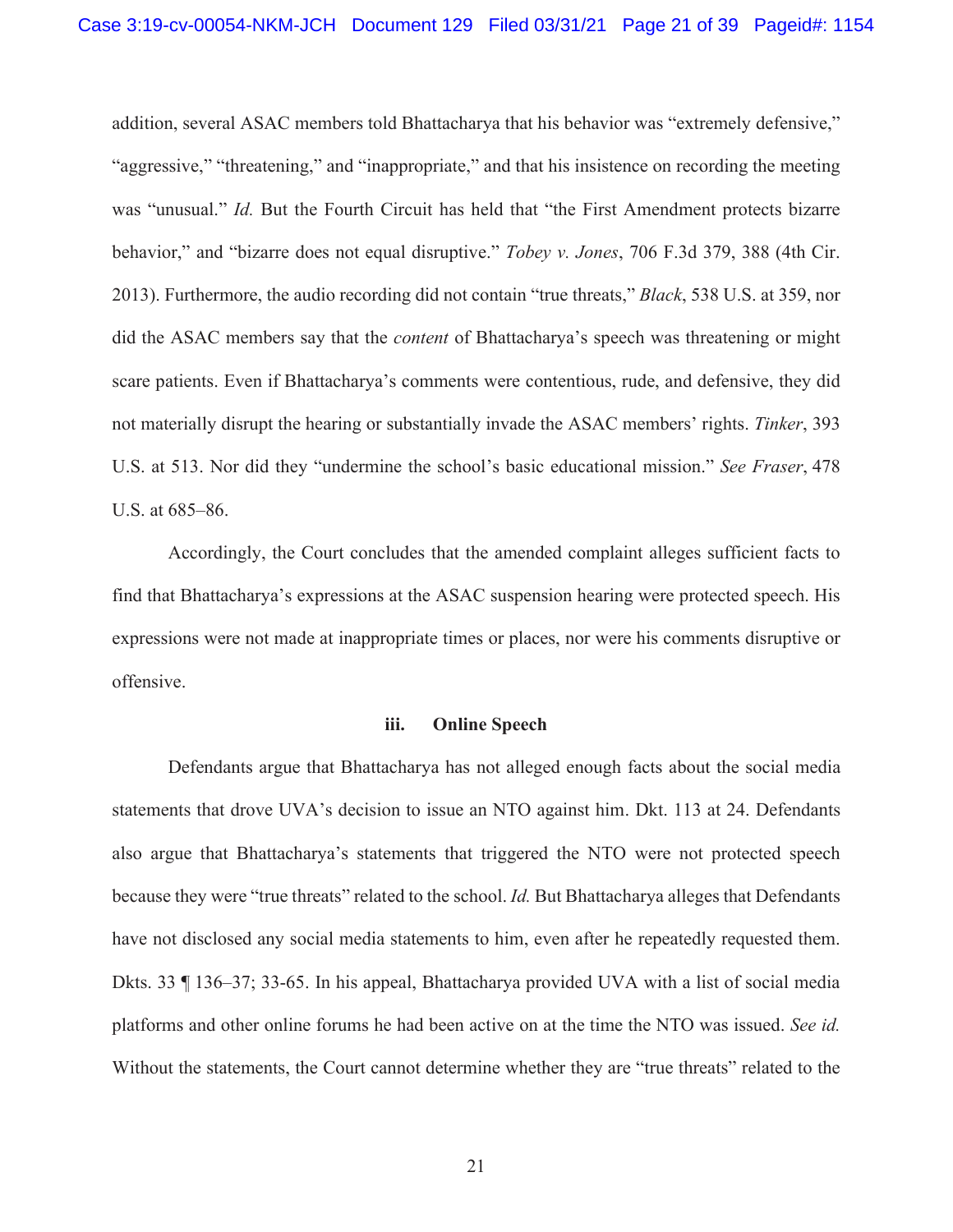addition, several ASAC members told Bhattacharya that his behavior was "extremely defensive," "aggressive," "threatening," and "inappropriate," and that his insistence on recording the meeting was "unusual." *Id.* But the Fourth Circuit has held that "the First Amendment protects bizarre behavior," and "bizarre does not equal disruptive." *Tobey v. Jones*, 706 F.3d 379, 388 (4th Cir. 2013). Furthermore, the audio recording did not contain "true threats," *Black*, 538 U.S. at 359, nor did the ASAC members say that the *content* of Bhattacharya's speech was threatening or might scare patients. Even if Bhattacharya's comments were contentious, rude, and defensive, they did not materially disrupt the hearing or substantially invade the ASAC members' rights. *Tinker*, 393 U.S. at 513. Nor did they "undermine the school's basic educational mission." *See Fraser*, 478 U.S. at 685–86.

Accordingly, the Court concludes that the amended complaint alleges sufficient facts to find that Bhattacharya's expressions at the ASAC suspension hearing were protected speech. His expressions were not made at inappropriate times or places, nor were his comments disruptive or offensive.

#### **iii. Online Speech**

Defendants argue that Bhattacharya has not alleged enough facts about the social media statements that drove UVA's decision to issue an NTO against him. Dkt. 113 at 24. Defendants also argue that Bhattacharya's statements that triggered the NTO were not protected speech because they were "true threats" related to the school. *Id.* But Bhattacharya alleges that Defendants have not disclosed any social media statements to him, even after he repeatedly requested them. Dkts. 33 ¶ 136–37; 33-65. In his appeal, Bhattacharya provided UVA with a list of social media platforms and other online forums he had been active on at the time the NTO was issued. *See id.* Without the statements, the Court cannot determine whether they are "true threats" related to the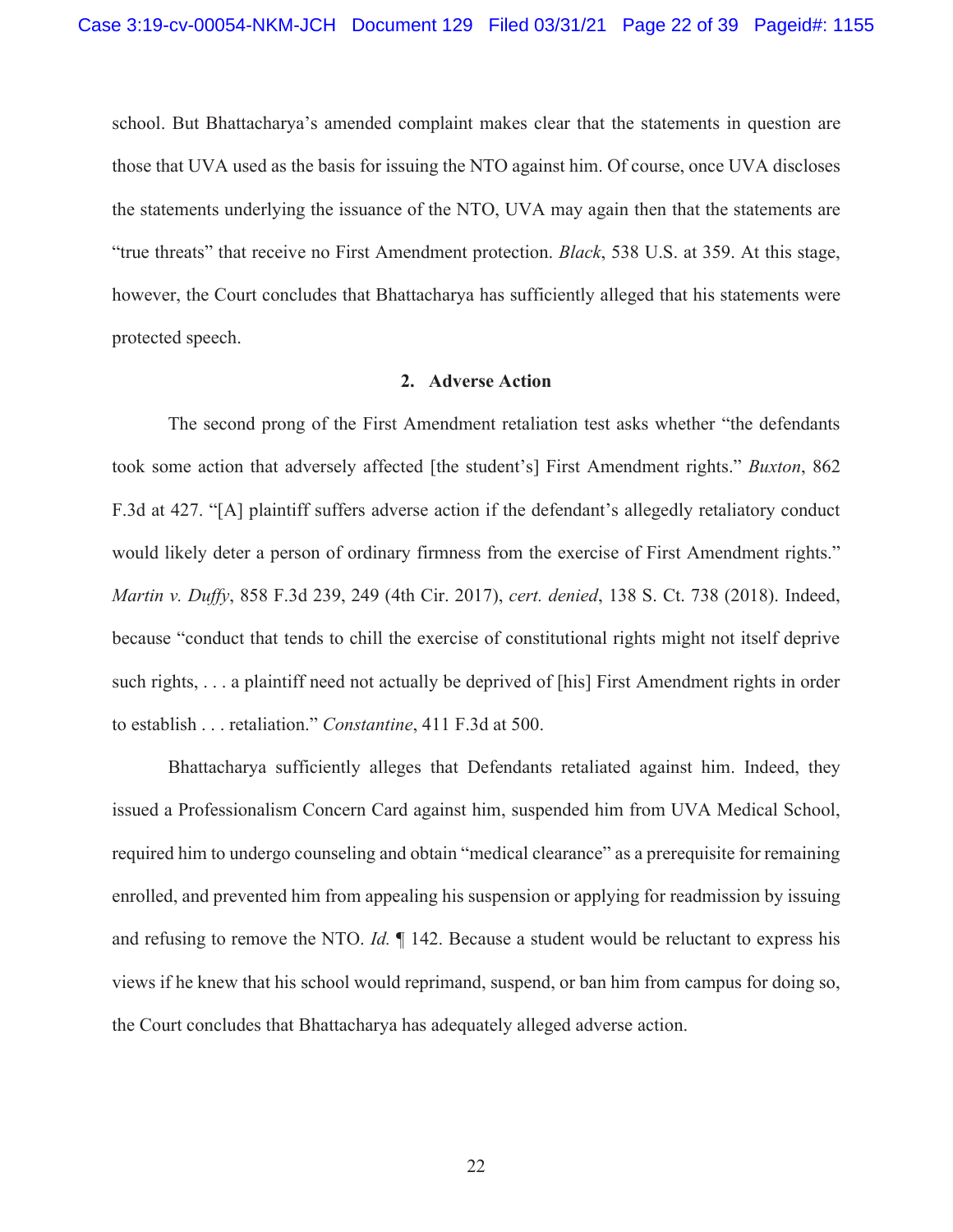school. But Bhattacharya's amended complaint makes clear that the statements in question are those that UVA used as the basis for issuing the NTO against him. Of course, once UVA discloses the statements underlying the issuance of the NTO, UVA may again then that the statements are "true threats" that receive no First Amendment protection. *Black*, 538 U.S. at 359. At this stage, however, the Court concludes that Bhattacharya has sufficiently alleged that his statements were protected speech.

#### **2. Adverse Action**

The second prong of the First Amendment retaliation test asks whether "the defendants took some action that adversely affected [the student's] First Amendment rights." *Buxton*, 862 F.3d at 427. "[A] plaintiff suffers adverse action if the defendant's allegedly retaliatory conduct would likely deter a person of ordinary firmness from the exercise of First Amendment rights." *Martin v. Duffy*, 858 F.3d 239, 249 (4th Cir. 2017), *cert. denied*, 138 S. Ct. 738 (2018). Indeed, because "conduct that tends to chill the exercise of constitutional rights might not itself deprive such rights, . . . a plaintiff need not actually be deprived of [his] First Amendment rights in order to establish . . . retaliation." *Constantine*, 411 F.3d at 500.

Bhattacharya sufficiently alleges that Defendants retaliated against him. Indeed, they issued a Professionalism Concern Card against him, suspended him from UVA Medical School, required him to undergo counseling and obtain "medical clearance" as a prerequisite for remaining enrolled, and prevented him from appealing his suspension or applying for readmission by issuing and refusing to remove the NTO. *Id.* ¶ 142. Because a student would be reluctant to express his views if he knew that his school would reprimand, suspend, or ban him from campus for doing so, the Court concludes that Bhattacharya has adequately alleged adverse action.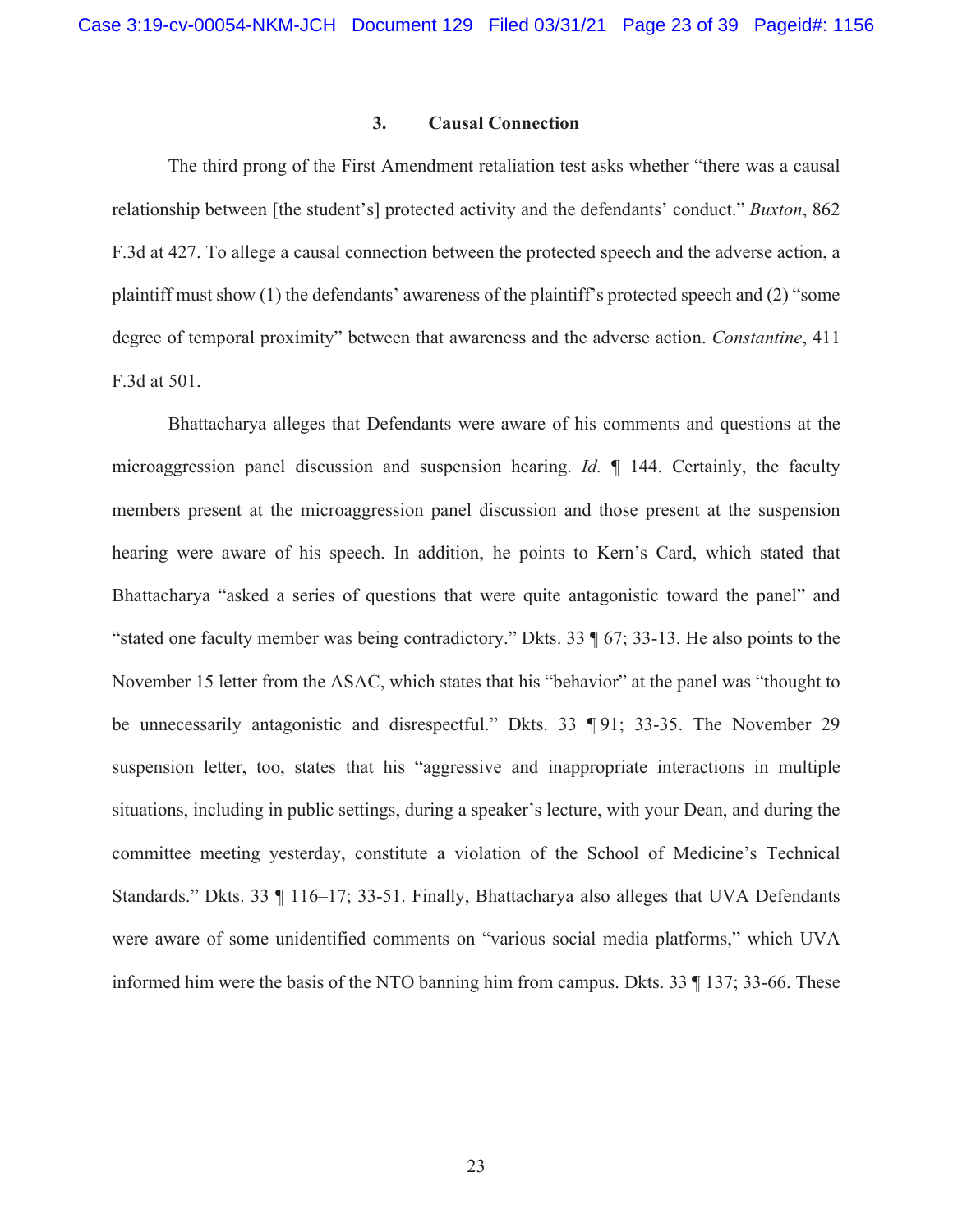#### **3. Causal Connection**

The third prong of the First Amendment retaliation test asks whether "there was a causal relationship between [the student's] protected activity and the defendants' conduct." *Buxton*, 862 F.3d at 427. To allege a causal connection between the protected speech and the adverse action, a plaintiff must show (1) the defendants' awareness of the plaintiff's protected speech and (2) "some degree of temporal proximity" between that awareness and the adverse action. *Constantine*, 411 F.3d at 501.

Bhattacharya alleges that Defendants were aware of his comments and questions at the microaggression panel discussion and suspension hearing. *Id.* ¶ 144. Certainly, the faculty members present at the microaggression panel discussion and those present at the suspension hearing were aware of his speech. In addition, he points to Kern's Card, which stated that Bhattacharya "asked a series of questions that were quite antagonistic toward the panel" and "stated one faculty member was being contradictory." Dkts. 33 ¶ 67; 33-13. He also points to the November 15 letter from the ASAC, which states that his "behavior" at the panel was "thought to be unnecessarily antagonistic and disrespectful." Dkts. 33 ¶ 91; 33-35. The November 29 suspension letter, too, states that his "aggressive and inappropriate interactions in multiple situations, including in public settings, during a speaker's lecture, with your Dean, and during the committee meeting yesterday, constitute a violation of the School of Medicine's Technical Standards." Dkts. 33 ¶ 116–17; 33-51. Finally, Bhattacharya also alleges that UVA Defendants were aware of some unidentified comments on "various social media platforms," which UVA informed him were the basis of the NTO banning him from campus. Dkts. 33 ¶ 137; 33-66. These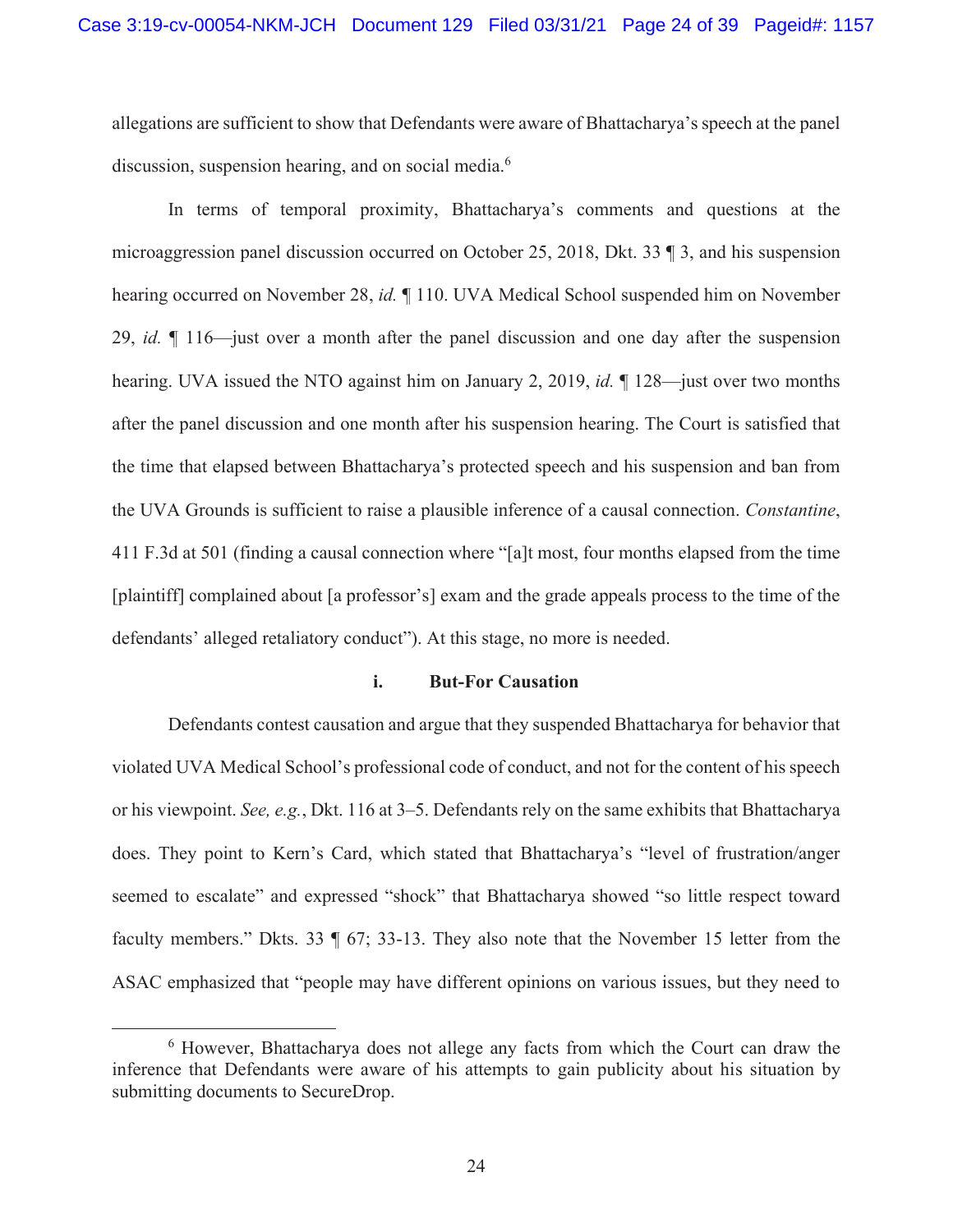allegations are sufficient to show that Defendants were aware of Bhattacharya's speech at the panel discussion, suspension hearing, and on social media.<sup>6</sup>

In terms of temporal proximity, Bhattacharya's comments and questions at the microaggression panel discussion occurred on October 25, 2018, Dkt. 33 ¶ 3, and his suspension hearing occurred on November 28, *id.* ¶ 110. UVA Medical School suspended him on November 29, *id.* ¶ 116—just over a month after the panel discussion and one day after the suspension hearing. UVA issued the NTO against him on January 2, 2019, *id.* ¶ 128—just over two months after the panel discussion and one month after his suspension hearing. The Court is satisfied that the time that elapsed between Bhattacharya's protected speech and his suspension and ban from the UVA Grounds is sufficient to raise a plausible inference of a causal connection. *Constantine*, 411 F.3d at 501 (finding a causal connection where "[a]t most, four months elapsed from the time [plaintiff] complained about [a professor's] exam and the grade appeals process to the time of the defendants' alleged retaliatory conduct"). At this stage, no more is needed.

#### **i. But-For Causation**

Defendants contest causation and argue that they suspended Bhattacharya for behavior that violated UVA Medical School's professional code of conduct, and not for the content of his speech or his viewpoint. *See, e.g.*, Dkt. 116 at 3–5. Defendants rely on the same exhibits that Bhattacharya does. They point to Kern's Card, which stated that Bhattacharya's "level of frustration/anger seemed to escalate" and expressed "shock" that Bhattacharya showed "so little respect toward faculty members." Dkts. 33 ¶ 67; 33-13. They also note that the November 15 letter from the ASAC emphasized that "people may have different opinions on various issues, but they need to

<sup>&</sup>lt;sup>6</sup> However, Bhattacharya does not allege any facts from which the Court can draw the inference that Defendants were aware of his attempts to gain publicity about his situation by submitting documents to SecureDrop.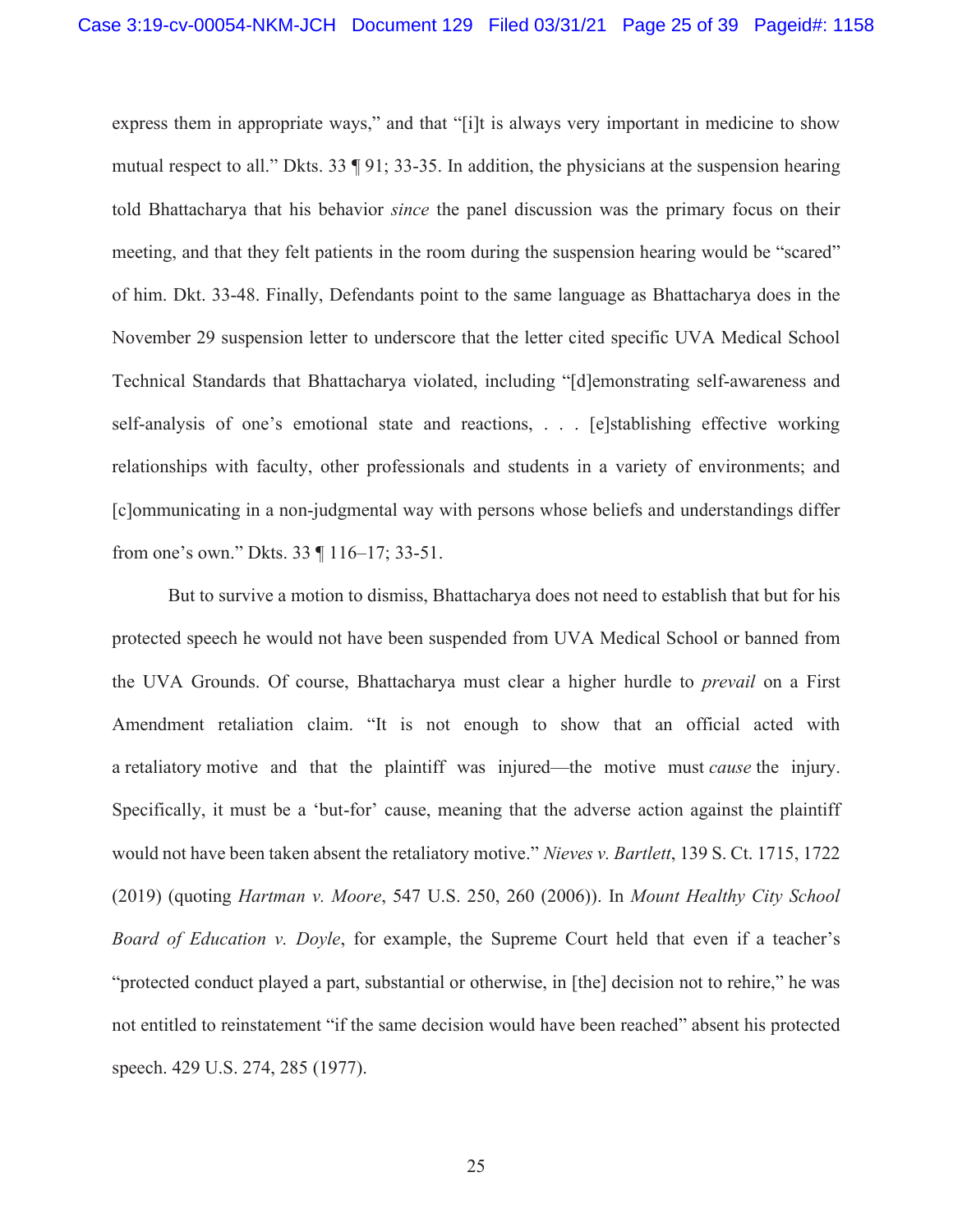express them in appropriate ways," and that "[i]t is always very important in medicine to show mutual respect to all." Dkts. 33 ¶ 91; 33-35. In addition, the physicians at the suspension hearing told Bhattacharya that his behavior *since* the panel discussion was the primary focus on their meeting, and that they felt patients in the room during the suspension hearing would be "scared" of him. Dkt. 33-48. Finally, Defendants point to the same language as Bhattacharya does in the November 29 suspension letter to underscore that the letter cited specific UVA Medical School Technical Standards that Bhattacharya violated, including "[d]emonstrating self-awareness and self-analysis of one's emotional state and reactions, . . . [e]stablishing effective working relationships with faculty, other professionals and students in a variety of environments; and [c]ommunicating in a non-judgmental way with persons whose beliefs and understandings differ from one's own." Dkts. 33 ¶ 116–17; 33-51.

But to survive a motion to dismiss, Bhattacharya does not need to establish that but for his protected speech he would not have been suspended from UVA Medical School or banned from the UVA Grounds. Of course, Bhattacharya must clear a higher hurdle to *prevail* on a First Amendment retaliation claim. "It is not enough to show that an official acted with a retaliatory motive and that the plaintiff was injured—the motive must *cause* the injury. Specifically, it must be a 'but-for' cause, meaning that the adverse action against the plaintiff would not have been taken absent the retaliatory motive." *Nieves v. Bartlett*, 139 S. Ct. 1715, 1722 (2019) (quoting *Hartman v. Moore*, 547 U.S. 250, 260 (2006)). In *Mount Healthy City School Board of Education v. Doyle*, for example, the Supreme Court held that even if a teacher's "protected conduct played a part, substantial or otherwise, in [the] decision not to rehire," he was not entitled to reinstatement "if the same decision would have been reached" absent his protected speech. 429 U.S. 274, 285 (1977).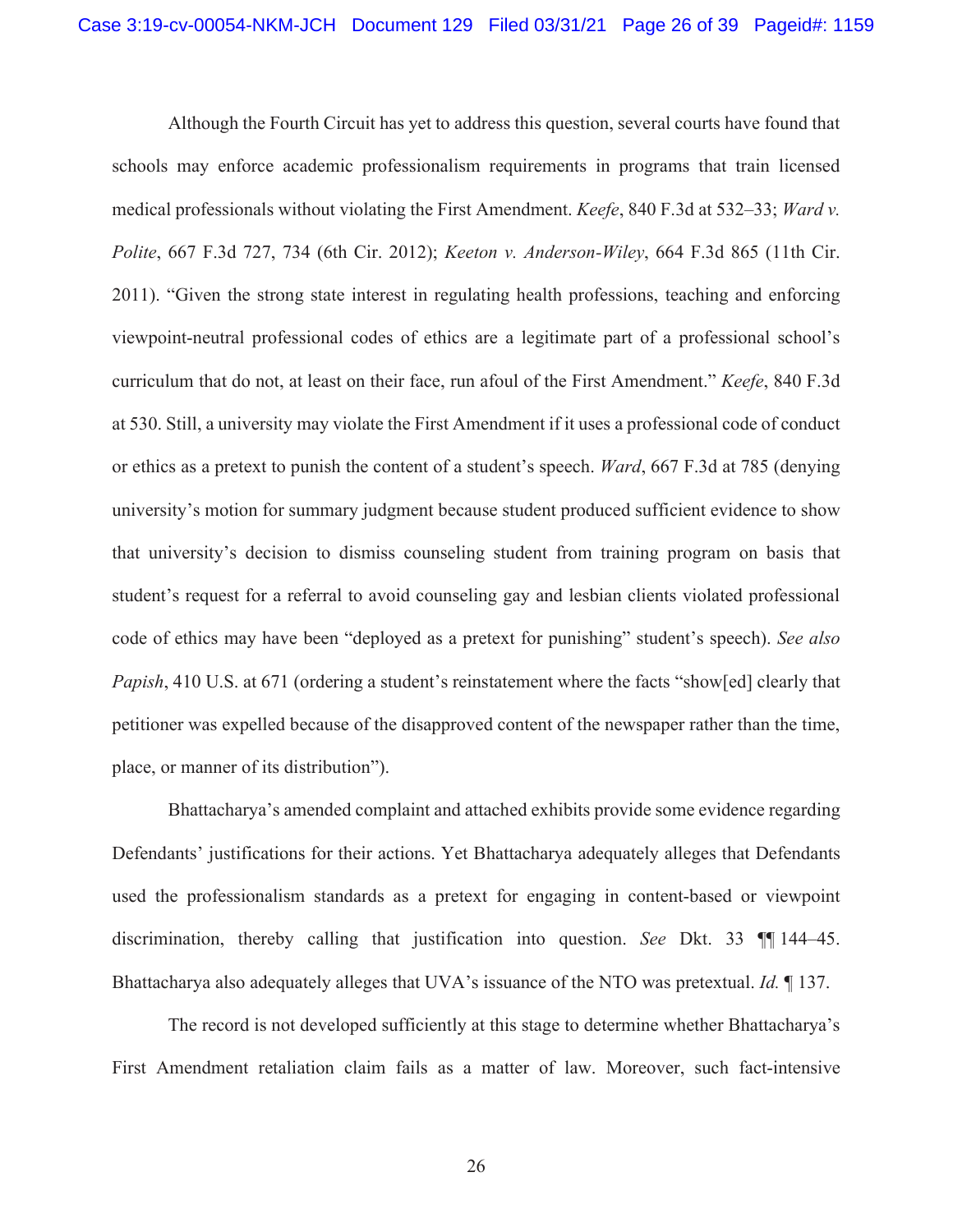Although the Fourth Circuit has yet to address this question, several courts have found that schools may enforce academic professionalism requirements in programs that train licensed medical professionals without violating the First Amendment. *Keefe*, 840 F.3d at 532–33; *Ward v. Polite*, 667 F.3d 727, 734 (6th Cir. 2012); *Keeton v. Anderson-Wiley*, 664 F.3d 865 (11th Cir. 2011). "Given the strong state interest in regulating health professions, teaching and enforcing viewpoint-neutral professional codes of ethics are a legitimate part of a professional school's curriculum that do not, at least on their face, run afoul of the First Amendment." *Keefe*, 840 F.3d at 530. Still, a university may violate the First Amendment if it uses a professional code of conduct or ethics as a pretext to punish the content of a student's speech. *Ward*, 667 F.3d at 785 (denying university's motion for summary judgment because student produced sufficient evidence to show that university's decision to dismiss counseling student from training program on basis that student's request for a referral to avoid counseling gay and lesbian clients violated professional code of ethics may have been "deployed as a pretext for punishing" student's speech). *See also Papish*, 410 U.S. at 671 (ordering a student's reinstatement where the facts "show[ed] clearly that petitioner was expelled because of the disapproved content of the newspaper rather than the time, place, or manner of its distribution").

Bhattacharya's amended complaint and attached exhibits provide some evidence regarding Defendants' justifications for their actions. Yet Bhattacharya adequately alleges that Defendants used the professionalism standards as a pretext for engaging in content-based or viewpoint discrimination, thereby calling that justification into question. *See* Dkt. 33 ¶¶ 144–45. Bhattacharya also adequately alleges that UVA's issuance of the NTO was pretextual. *Id.* ¶ 137.

The record is not developed sufficiently at this stage to determine whether Bhattacharya's First Amendment retaliation claim fails as a matter of law. Moreover, such fact-intensive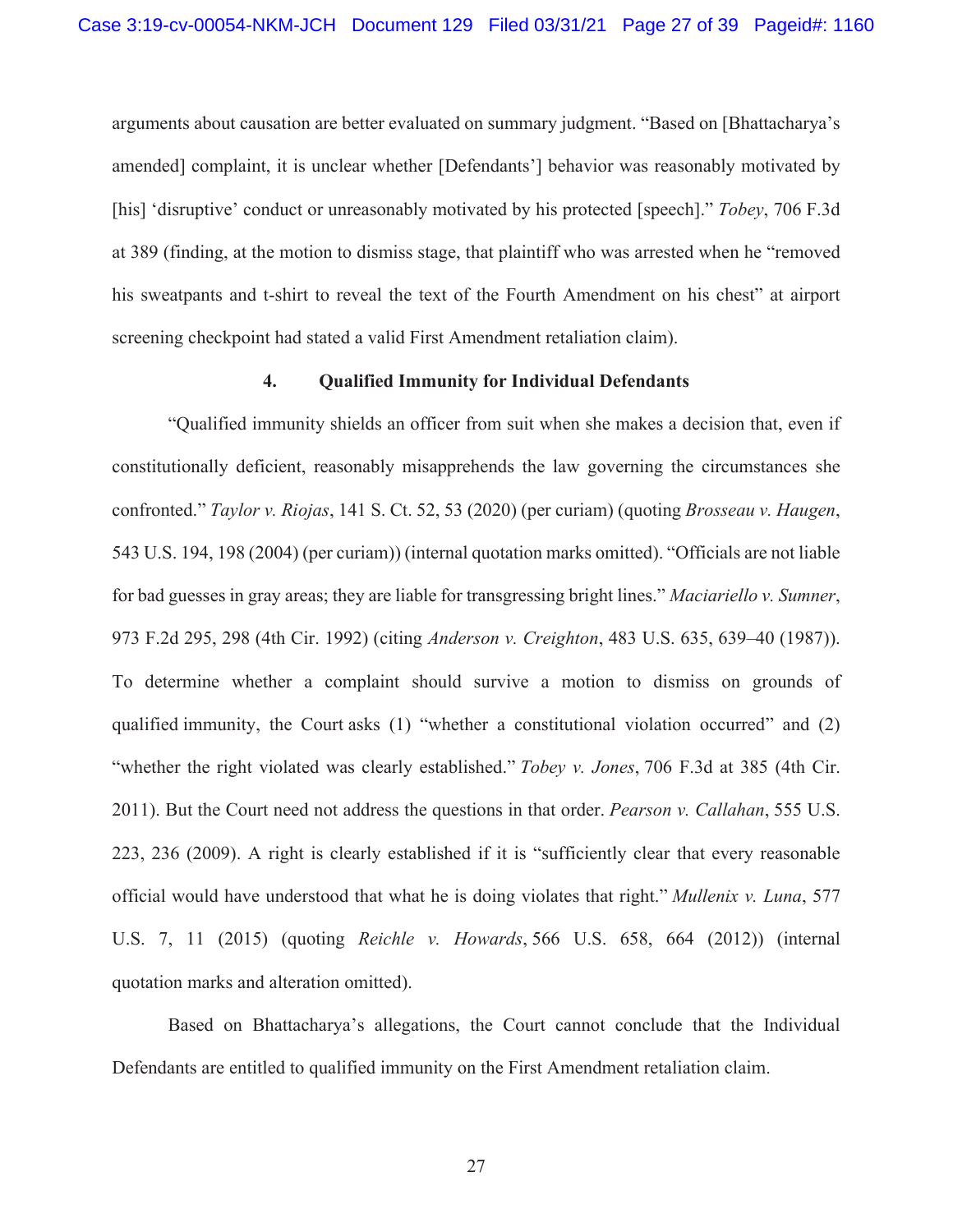arguments about causation are better evaluated on summary judgment. "Based on [Bhattacharya's amended] complaint, it is unclear whether [Defendants'] behavior was reasonably motivated by [his] 'disruptive' conduct or unreasonably motivated by his protected [speech]." *Tobey*, 706 F.3d at 389 (finding, at the motion to dismiss stage, that plaintiff who was arrested when he "removed his sweatpants and t-shirt to reveal the text of the Fourth Amendment on his chest" at airport screening checkpoint had stated a valid First Amendment retaliation claim).

# **4. Qualified Immunity for Individual Defendants**

"Qualified immunity shields an officer from suit when she makes a decision that, even if constitutionally deficient, reasonably misapprehends the law governing the circumstances she confronted." *Taylor v. Riojas*, 141 S. Ct. 52, 53 (2020) (per curiam) (quoting *Brosseau v. Haugen*, 543 U.S. 194, 198 (2004) (per curiam)) (internal quotation marks omitted). "Officials are not liable for bad guesses in gray areas; they are liable for transgressing bright lines." *Maciariello v. Sumner*, 973 F.2d 295, 298 (4th Cir. 1992) (citing *Anderson v. Creighton*, 483 U.S. 635, 639–40 (1987)). To determine whether a complaint should survive a motion to dismiss on grounds of qualified immunity, the Court asks (1) "whether a constitutional violation occurred" and (2) "whether the right violated was clearly established." *Tobey v. Jones*, 706 F.3d at 385 (4th Cir. 2011). But the Court need not address the questions in that order. *Pearson v. Callahan*, 555 U.S. 223, 236 (2009). A right is clearly established if it is "sufficiently clear that every reasonable official would have understood that what he is doing violates that right." *Mullenix v. Luna*, 577 U.S. 7, 11 (2015) (quoting *Reichle v. Howards*, 566 U.S. 658, 664 (2012)) (internal quotation marks and alteration omitted).

Based on Bhattacharya's allegations, the Court cannot conclude that the Individual Defendants are entitled to qualified immunity on the First Amendment retaliation claim.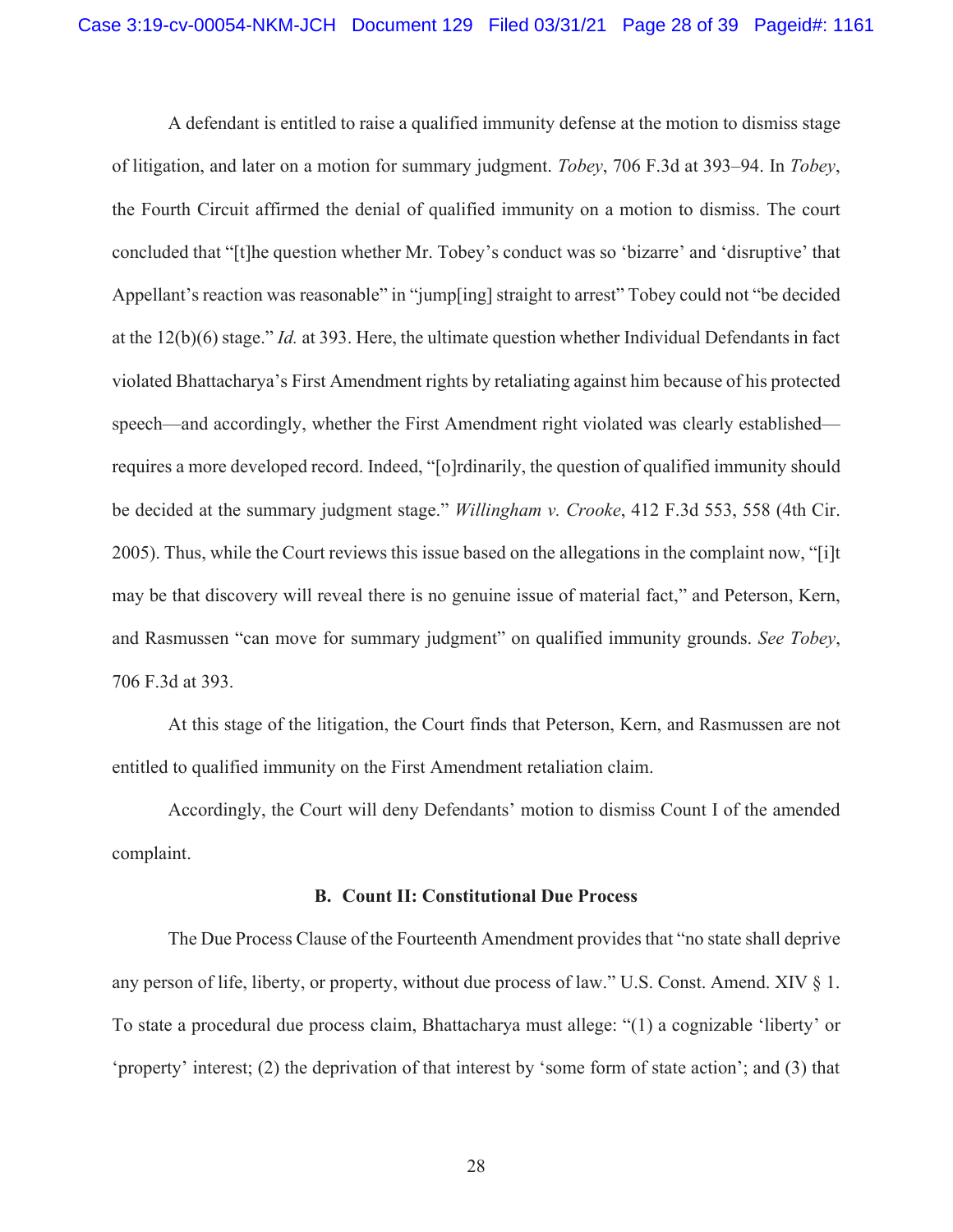A defendant is entitled to raise a qualified immunity defense at the motion to dismiss stage of litigation, and later on a motion for summary judgment. *Tobey*, 706 F.3d at 393–94. In *Tobey*, the Fourth Circuit affirmed the denial of qualified immunity on a motion to dismiss. The court concluded that "[t]he question whether Mr. Tobey's conduct was so 'bizarre' and 'disruptive' that Appellant's reaction was reasonable" in "jump[ing] straight to arrest" Tobey could not "be decided at the 12(b)(6) stage." *Id.* at 393. Here, the ultimate question whether Individual Defendants in fact violated Bhattacharya's First Amendment rights by retaliating against him because of his protected speech—and accordingly, whether the First Amendment right violated was clearly established requires a more developed record. Indeed, "[o]rdinarily, the question of qualified immunity should be decided at the summary judgment stage." *Willingham v. Crooke*, 412 F.3d 553, 558 (4th Cir. 2005). Thus, while the Court reviews this issue based on the allegations in the complaint now, "[i]t may be that discovery will reveal there is no genuine issue of material fact," and Peterson, Kern, and Rasmussen "can move for summary judgment" on qualified immunity grounds. *See Tobey*, 706 F.3d at 393.

At this stage of the litigation, the Court finds that Peterson, Kern, and Rasmussen are not entitled to qualified immunity on the First Amendment retaliation claim.

Accordingly, the Court will deny Defendants' motion to dismiss Count I of the amended complaint.

#### **B. Count II: Constitutional Due Process**

The Due Process Clause of the Fourteenth Amendment provides that "no state shall deprive any person of life, liberty, or property, without due process of law." U.S. Const. Amend. XIV § 1. To state a procedural due process claim, Bhattacharya must allege: "(1) a cognizable 'liberty' or 'property' interest; (2) the deprivation of that interest by 'some form of state action'; and (3) that

28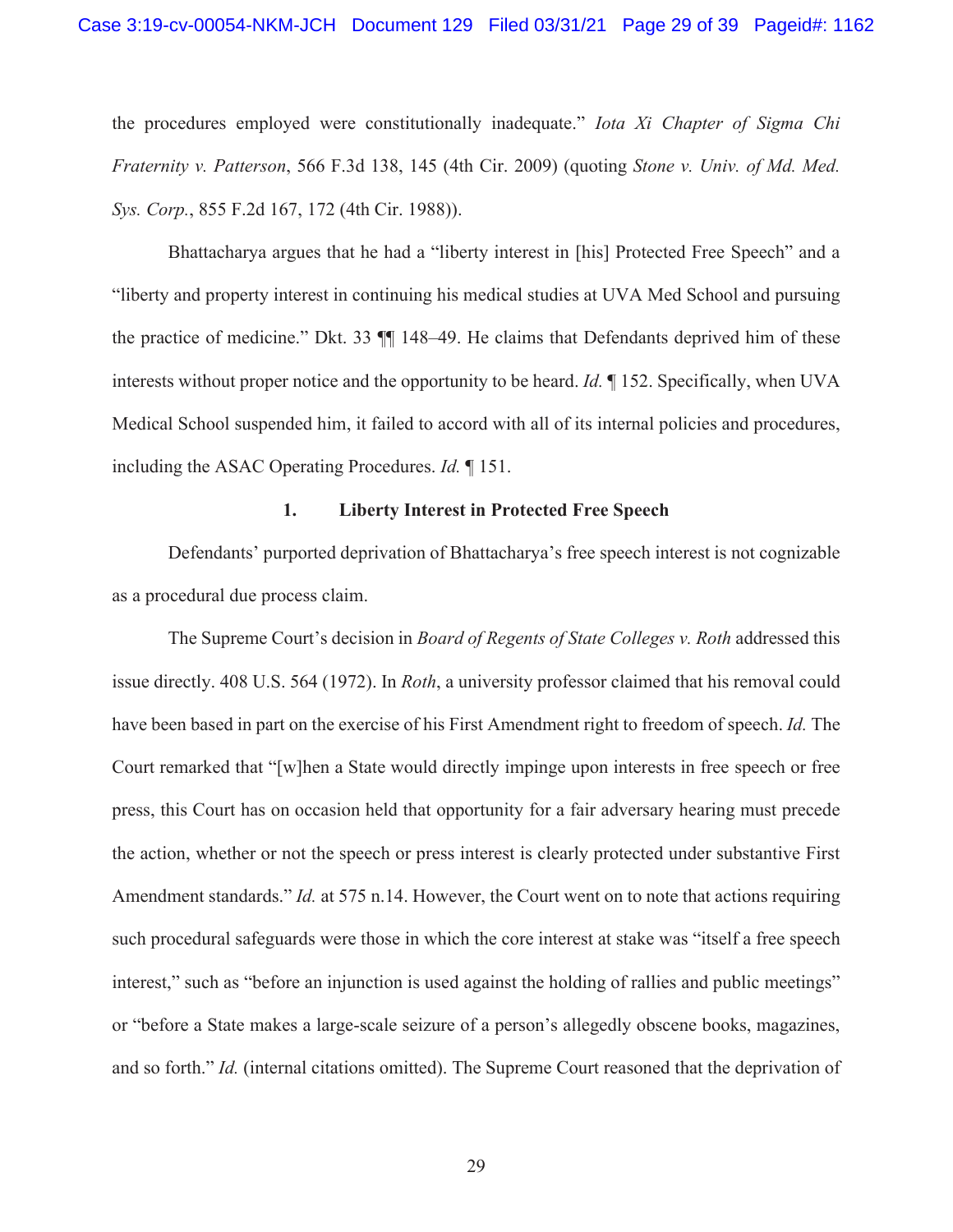the procedures employed were constitutionally inadequate." *Iota Xi Chapter of Sigma Chi Fraternity v. Patterson*, 566 F.3d 138, 145 (4th Cir. 2009) (quoting *Stone v. Univ. of Md. Med. Sys. Corp.*, 855 F.2d 167, 172 (4th Cir. 1988)).

Bhattacharya argues that he had a "liberty interest in [his] Protected Free Speech" and a "liberty and property interest in continuing his medical studies at UVA Med School and pursuing the practice of medicine." Dkt. 33 ¶¶ 148–49. He claims that Defendants deprived him of these interests without proper notice and the opportunity to be heard. *Id.* ¶ 152. Specifically, when UVA Medical School suspended him, it failed to accord with all of its internal policies and procedures, including the ASAC Operating Procedures. *Id.* ¶ 151.

#### **1. Liberty Interest in Protected Free Speech**

Defendants' purported deprivation of Bhattacharya's free speech interest is not cognizable as a procedural due process claim.

The Supreme Court's decision in *Board of Regents of State Colleges v. Roth* addressed this issue directly. 408 U.S. 564 (1972). In *Roth*, a university professor claimed that his removal could have been based in part on the exercise of his First Amendment right to freedom of speech. *Id.* The Court remarked that "[w]hen a State would directly impinge upon interests in free speech or free press, this Court has on occasion held that opportunity for a fair adversary hearing must precede the action, whether or not the speech or press interest is clearly protected under substantive First Amendment standards." *Id.* at 575 n.14. However, the Court went on to note that actions requiring such procedural safeguards were those in which the core interest at stake was "itself a free speech interest," such as "before an injunction is used against the holding of rallies and public meetings" or "before a State makes a large-scale seizure of a person's allegedly obscene books, magazines, and so forth." *Id.* (internal citations omitted). The Supreme Court reasoned that the deprivation of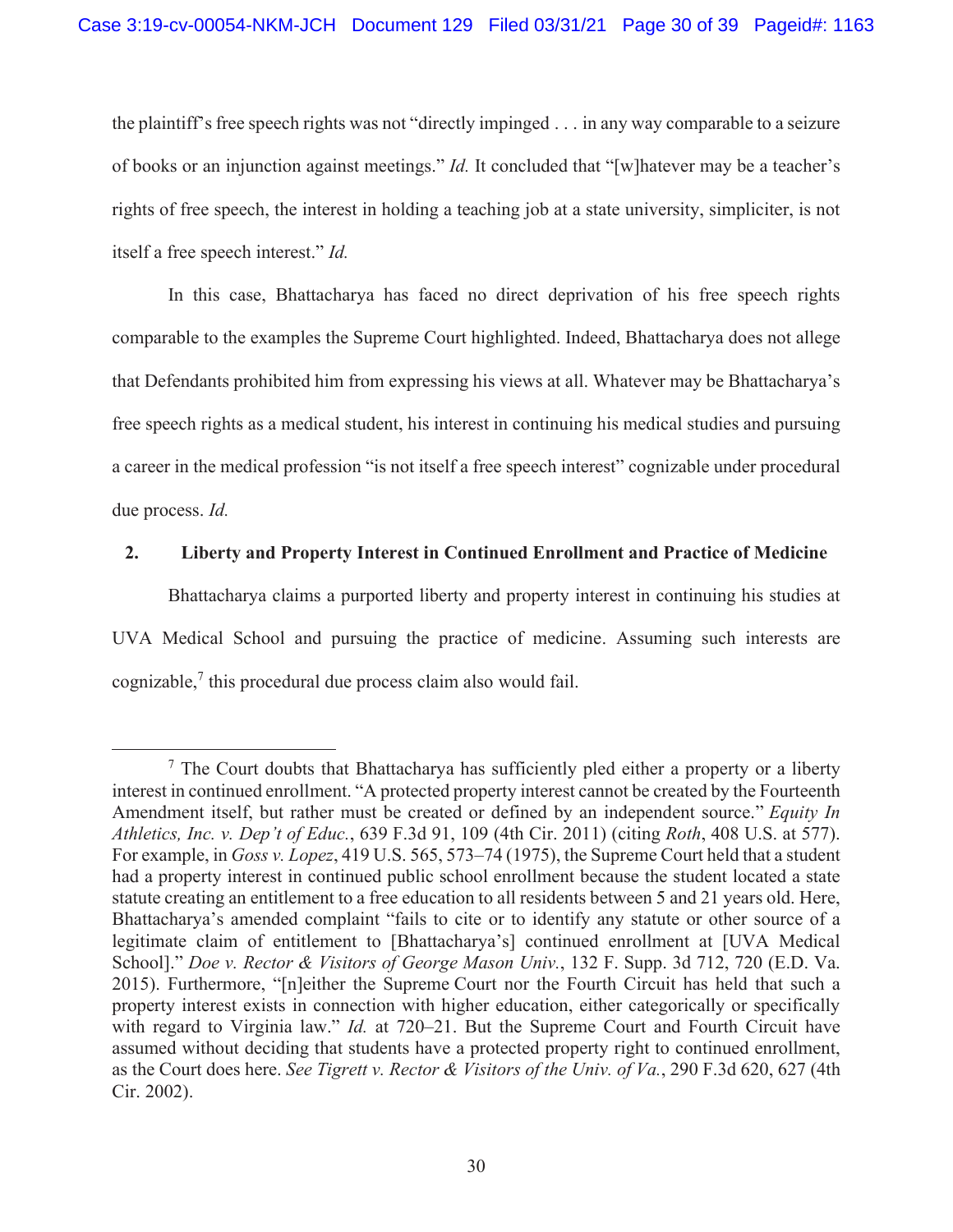the plaintiff's free speech rights was not "directly impinged . . . in any way comparable to a seizure of books or an injunction against meetings." *Id.* It concluded that "[w]hatever may be a teacher's rights of free speech, the interest in holding a teaching job at a state university, simpliciter, is not itself a free speech interest." *Id.*

In this case, Bhattacharya has faced no direct deprivation of his free speech rights comparable to the examples the Supreme Court highlighted. Indeed, Bhattacharya does not allege that Defendants prohibited him from expressing his views at all. Whatever may be Bhattacharya's free speech rights as a medical student, his interest in continuing his medical studies and pursuing a career in the medical profession "is not itself a free speech interest" cognizable under procedural due process. *Id.* 

# **2. Liberty and Property Interest in Continued Enrollment and Practice of Medicine**

Bhattacharya claims a purported liberty and property interest in continuing his studies at UVA Medical School and pursuing the practice of medicine. Assuming such interests are cognizable, $\frac{7}{1}$  this procedural due process claim also would fail.

 $<sup>7</sup>$  The Court doubts that Bhattacharya has sufficiently pled either a property or a liberty</sup> interest in continued enrollment. "A protected property interest cannot be created by the Fourteenth Amendment itself, but rather must be created or defined by an independent source." *Equity In Athletics, Inc. v. Dep't of Educ.*, 639 F.3d 91, 109 (4th Cir. 2011) (citing *Roth*, 408 U.S. at 577). For example, in *Goss v. Lopez*, 419 U.S. 565, 573–74 (1975), the Supreme Court held that a student had a property interest in continued public school enrollment because the student located a state statute creating an entitlement to a free education to all residents between 5 and 21 years old. Here, Bhattacharya's amended complaint "fails to cite or to identify any statute or other source of a legitimate claim of entitlement to [Bhattacharya's] continued enrollment at [UVA Medical School]." *Doe v. Rector & Visitors of George Mason Univ.*, 132 F. Supp. 3d 712, 720 (E.D. Va. 2015). Furthermore, "[n]either the Supreme Court nor the Fourth Circuit has held that such a property interest exists in connection with higher education, either categorically or specifically with regard to Virginia law." *Id.* at 720–21. But the Supreme Court and Fourth Circuit have assumed without deciding that students have a protected property right to continued enrollment, as the Court does here. *See Tigrett v. Rector & Visitors of the Univ. of Va.*, 290 F.3d 620, 627 (4th Cir. 2002).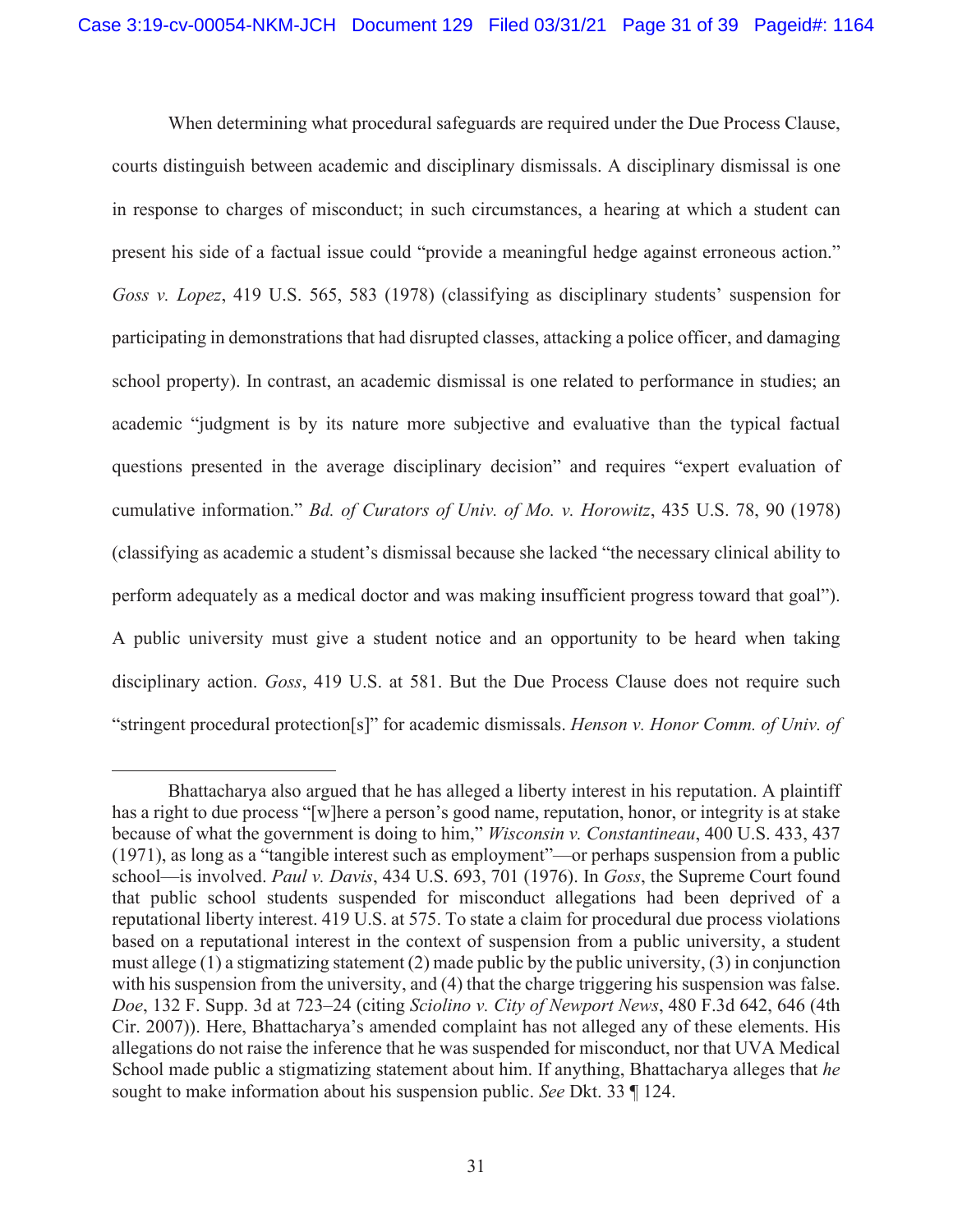When determining what procedural safeguards are required under the Due Process Clause, courts distinguish between academic and disciplinary dismissals. A disciplinary dismissal is one in response to charges of misconduct; in such circumstances, a hearing at which a student can present his side of a factual issue could "provide a meaningful hedge against erroneous action." *Goss v. Lopez*, 419 U.S. 565, 583 (1978) (classifying as disciplinary students' suspension for participating in demonstrations that had disrupted classes, attacking a police officer, and damaging school property). In contrast, an academic dismissal is one related to performance in studies; an academic "judgment is by its nature more subjective and evaluative than the typical factual questions presented in the average disciplinary decision" and requires "expert evaluation of cumulative information." *Bd. of Curators of Univ. of Mo. v. Horowitz*, 435 U.S. 78, 90 (1978) (classifying as academic a student's dismissal because she lacked "the necessary clinical ability to perform adequately as a medical doctor and was making insufficient progress toward that goal"). A public university must give a student notice and an opportunity to be heard when taking disciplinary action. *Goss*, 419 U.S. at 581. But the Due Process Clause does not require such "stringent procedural protection[s]" for academic dismissals. *Henson v. Honor Comm. of Univ. of* 

Bhattacharya also argued that he has alleged a liberty interest in his reputation. A plaintiff has a right to due process "[w]here a person's good name, reputation, honor, or integrity is at stake because of what the government is doing to him," *Wisconsin v. Constantineau*, 400 U.S. 433, 437 (1971), as long as a "tangible interest such as employment"—or perhaps suspension from a public school—is involved. *Paul v. Davis*, 434 U.S. 693, 701 (1976). In *Goss*, the Supreme Court found that public school students suspended for misconduct allegations had been deprived of a reputational liberty interest. 419 U.S. at 575. To state a claim for procedural due process violations based on a reputational interest in the context of suspension from a public university, a student must allege (1) a stigmatizing statement (2) made public by the public university, (3) in conjunction with his suspension from the university, and (4) that the charge triggering his suspension was false. *Doe*, 132 F. Supp. 3d at 723–24 (citing *Sciolino v. City of Newport News*, 480 F.3d 642, 646 (4th Cir. 2007)). Here, Bhattacharya's amended complaint has not alleged any of these elements. His allegations do not raise the inference that he was suspended for misconduct, nor that UVA Medical School made public a stigmatizing statement about him. If anything, Bhattacharya alleges that *he* sought to make information about his suspension public. *See* Dkt. 33 ¶ 124.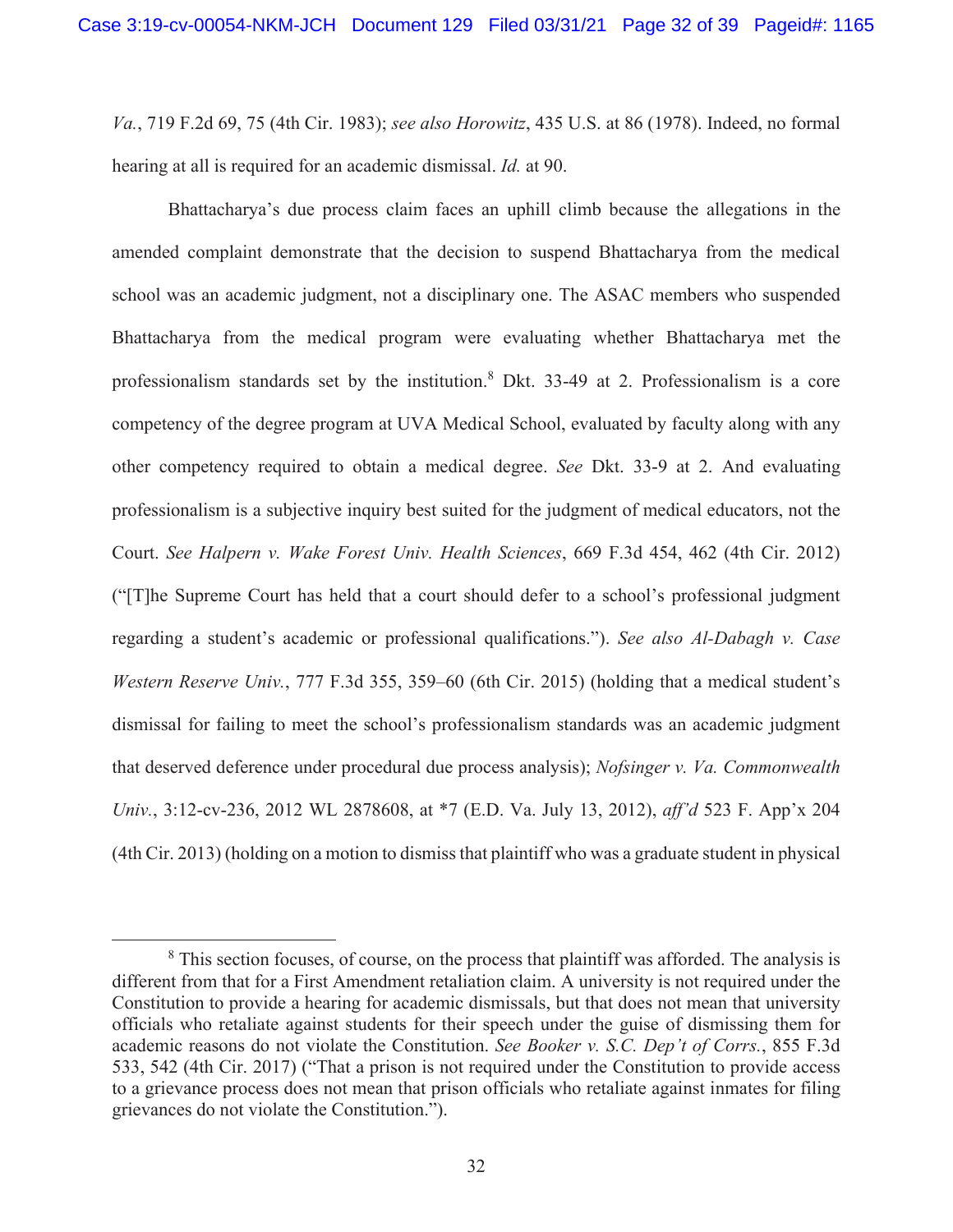*Va.*, 719 F.2d 69, 75 (4th Cir. 1983); *see also Horowitz*, 435 U.S. at 86 (1978). Indeed, no formal hearing at all is required for an academic dismissal. *Id.* at 90.

 Bhattacharya's due process claim faces an uphill climb because the allegations in the amended complaint demonstrate that the decision to suspend Bhattacharya from the medical school was an academic judgment, not a disciplinary one. The ASAC members who suspended Bhattacharya from the medical program were evaluating whether Bhattacharya met the professionalism standards set by the institution.<sup>8</sup> Dkt. 33-49 at 2. Professionalism is a core competency of the degree program at UVA Medical School, evaluated by faculty along with any other competency required to obtain a medical degree. *See* Dkt. 33-9 at 2. And evaluating professionalism is a subjective inquiry best suited for the judgment of medical educators, not the Court. *See Halpern v. Wake Forest Univ. Health Sciences*, 669 F.3d 454, 462 (4th Cir. 2012) ("[T]he Supreme Court has held that a court should defer to a school's professional judgment regarding a student's academic or professional qualifications."). *See also Al-Dabagh v. Case Western Reserve Univ.*, 777 F.3d 355, 359–60 (6th Cir. 2015) (holding that a medical student's dismissal for failing to meet the school's professionalism standards was an academic judgment that deserved deference under procedural due process analysis); *Nofsinger v. Va. Commonwealth Univ.*, 3:12-cv-236, 2012 WL 2878608, at \*7 (E.D. Va. July 13, 2012), *aff'd* 523 F. App'x 204 (4th Cir. 2013) (holding on a motion to dismiss that plaintiff who was a graduate student in physical

 $8$  This section focuses, of course, on the process that plaintiff was afforded. The analysis is different from that for a First Amendment retaliation claim. A university is not required under the Constitution to provide a hearing for academic dismissals, but that does not mean that university officials who retaliate against students for their speech under the guise of dismissing them for academic reasons do not violate the Constitution. *See Booker v. S.C. Dep't of Corrs.*, 855 F.3d 533, 542 (4th Cir. 2017) ("That a prison is not required under the Constitution to provide access to a grievance process does not mean that prison officials who retaliate against inmates for filing grievances do not violate the Constitution.").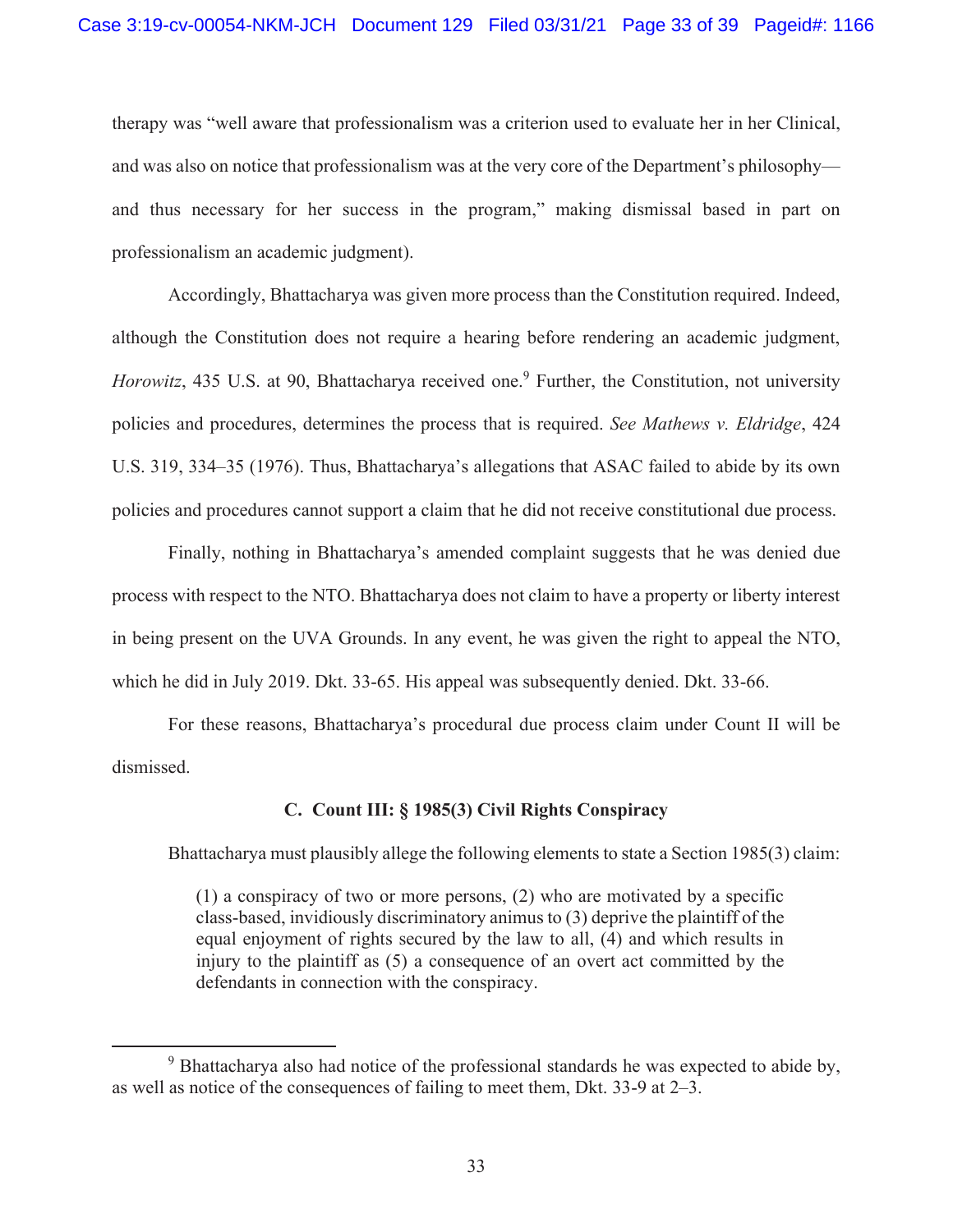therapy was "well aware that professionalism was a criterion used to evaluate her in her Clinical, and was also on notice that professionalism was at the very core of the Department's philosophy and thus necessary for her success in the program," making dismissal based in part on professionalism an academic judgment).

Accordingly, Bhattacharya was given more process than the Constitution required. Indeed, although the Constitution does not require a hearing before rendering an academic judgment, Horowitz, 435 U.S. at 90, Bhattacharya received one.<sup>9</sup> Further, the Constitution, not university policies and procedures, determines the process that is required. *See Mathews v. Eldridge*, 424 U.S. 319, 334–35 (1976). Thus, Bhattacharya's allegations that ASAC failed to abide by its own policies and procedures cannot support a claim that he did not receive constitutional due process.

Finally, nothing in Bhattacharya's amended complaint suggests that he was denied due process with respect to the NTO. Bhattacharya does not claim to have a property or liberty interest in being present on the UVA Grounds. In any event, he was given the right to appeal the NTO, which he did in July 2019. Dkt. 33-65. His appeal was subsequently denied. Dkt. 33-66.

For these reasons, Bhattacharya's procedural due process claim under Count II will be dismissed.

### **C. Count III: § 1985(3) Civil Rights Conspiracy**

Bhattacharya must plausibly allege the following elements to state a Section 1985(3) claim:

(1) a conspiracy of two or more persons, (2) who are motivated by a specific class-based, invidiously discriminatory animus to (3) deprive the plaintiff of the equal enjoyment of rights secured by the law to all, (4) and which results in injury to the plaintiff as (5) a consequence of an overt act committed by the defendants in connection with the conspiracy.

<sup>&</sup>lt;sup>9</sup> Bhattacharya also had notice of the professional standards he was expected to abide by, as well as notice of the consequences of failing to meet them, Dkt. 33-9 at 2–3.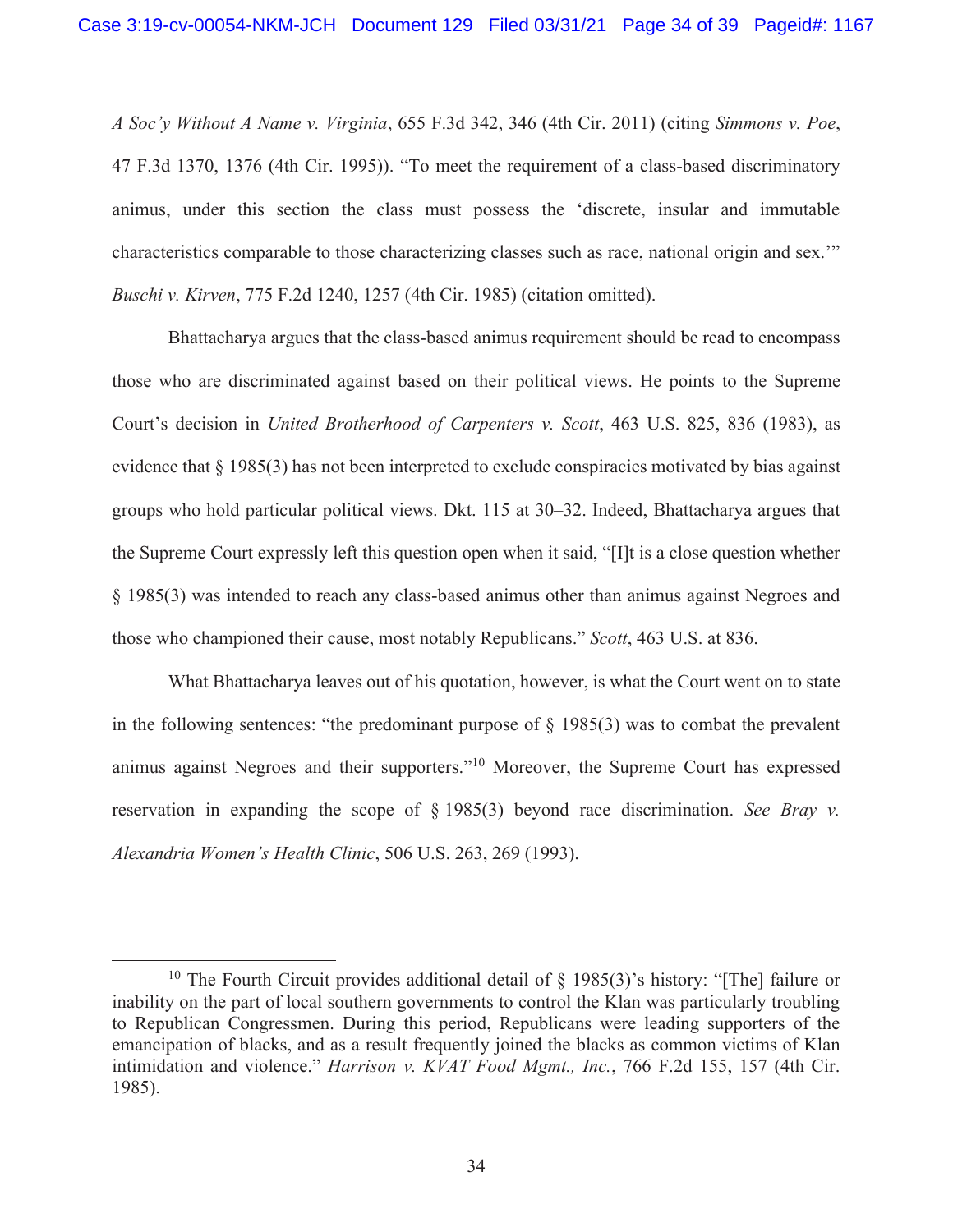*A Soc'y Without A Name v. Virginia*, 655 F.3d 342, 346 (4th Cir. 2011) (citing *Simmons v. Poe*, 47 F.3d 1370, 1376 (4th Cir. 1995)). "To meet the requirement of a class-based discriminatory animus, under this section the class must possess the 'discrete, insular and immutable characteristics comparable to those characterizing classes such as race, national origin and sex.'" *Buschi v. Kirven*, 775 F.2d 1240, 1257 (4th Cir. 1985) (citation omitted).

Bhattacharya argues that the class-based animus requirement should be read to encompass those who are discriminated against based on their political views. He points to the Supreme Court's decision in *United Brotherhood of Carpenters v. Scott*, 463 U.S. 825, 836 (1983), as evidence that § 1985(3) has not been interpreted to exclude conspiracies motivated by bias against groups who hold particular political views. Dkt. 115 at 30–32. Indeed, Bhattacharya argues that the Supreme Court expressly left this question open when it said, "[I]t is a close question whether § 1985(3) was intended to reach any class-based animus other than animus against Negroes and those who championed their cause, most notably Republicans." *Scott*, 463 U.S. at 836.

What Bhattacharya leaves out of his quotation, however, is what the Court went on to state in the following sentences: "the predominant purpose of  $\S$  1985(3) was to combat the prevalent animus against Negroes and their supporters."10 Moreover, the Supreme Court has expressed reservation in expanding the scope of § 1985(3) beyond race discrimination. *See Bray v. Alexandria Women's Health Clinic*, 506 U.S. 263, 269 (1993).

<sup>&</sup>lt;sup>10</sup> The Fourth Circuit provides additional detail of  $\S$  1985(3)'s history: "[The] failure or inability on the part of local southern governments to control the Klan was particularly troubling to Republican Congressmen. During this period, Republicans were leading supporters of the emancipation of blacks, and as a result frequently joined the blacks as common victims of Klan intimidation and violence." *Harrison v. KVAT Food Mgmt., Inc.*, 766 F.2d 155, 157 (4th Cir. 1985).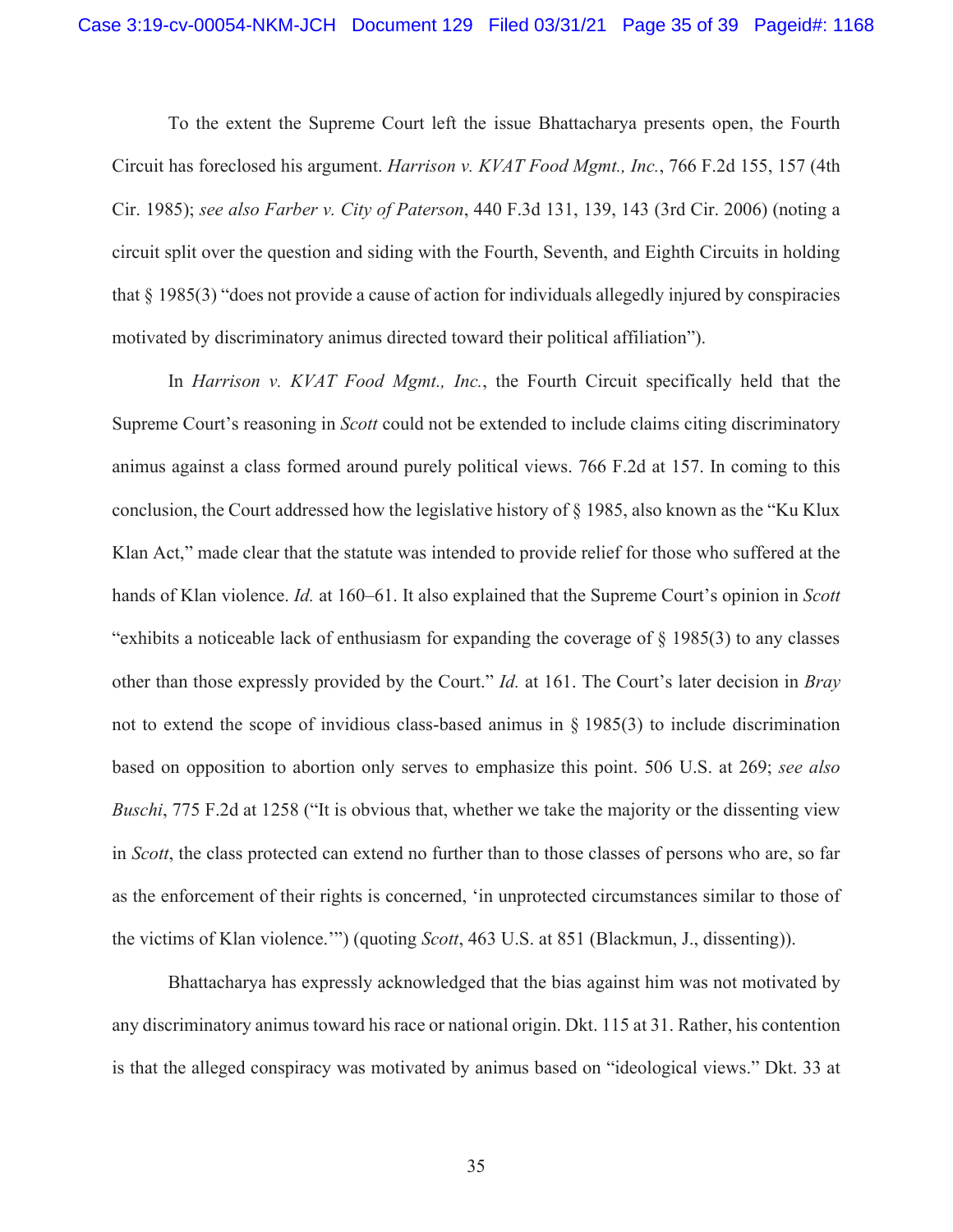To the extent the Supreme Court left the issue Bhattacharya presents open, the Fourth Circuit has foreclosed his argument. *Harrison v. KVAT Food Mgmt., Inc.*, 766 F.2d 155, 157 (4th Cir. 1985); *see also Farber v. City of Paterson*, 440 F.3d 131, 139, 143 (3rd Cir. 2006) (noting a circuit split over the question and siding with the Fourth, Seventh, and Eighth Circuits in holding that § 1985(3) "does not provide a cause of action for individuals allegedly injured by conspiracies motivated by discriminatory animus directed toward their political affiliation").

In *Harrison v. KVAT Food Mgmt., Inc.*, the Fourth Circuit specifically held that the Supreme Court's reasoning in *Scott* could not be extended to include claims citing discriminatory animus against a class formed around purely political views. 766 F.2d at 157. In coming to this conclusion, the Court addressed how the legislative history of § 1985, also known as the "Ku Klux Klan Act," made clear that the statute was intended to provide relief for those who suffered at the hands of Klan violence. *Id.* at 160–61. It also explained that the Supreme Court's opinion in *Scott* "exhibits a noticeable lack of enthusiasm for expanding the coverage of § 1985(3) to any classes other than those expressly provided by the Court." *Id.* at 161. The Court's later decision in *Bray* not to extend the scope of invidious class-based animus in § 1985(3) to include discrimination based on opposition to abortion only serves to emphasize this point. 506 U.S. at 269; *see also Buschi*, 775 F.2d at 1258 ("It is obvious that, whether we take the majority or the dissenting view in *Scott*, the class protected can extend no further than to those classes of persons who are, so far as the enforcement of their rights is concerned, 'in unprotected circumstances similar to those of the victims of Klan violence.'") (quoting *Scott*, 463 U.S. at 851 (Blackmun, J., dissenting)).

Bhattacharya has expressly acknowledged that the bias against him was not motivated by any discriminatory animus toward his race or national origin. Dkt. 115 at 31. Rather, his contention is that the alleged conspiracy was motivated by animus based on "ideological views." Dkt. 33 at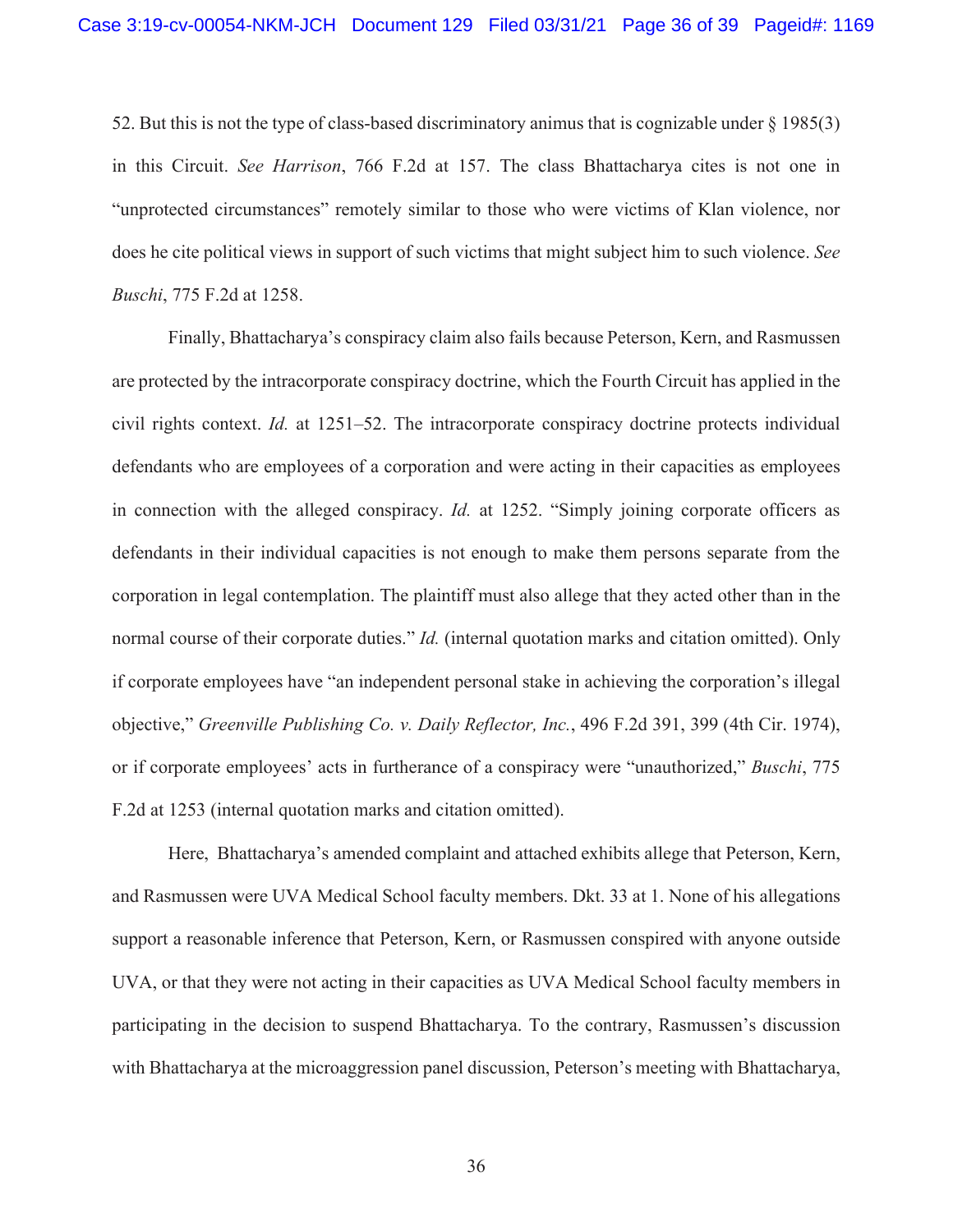52. But this is not the type of class-based discriminatory animus that is cognizable under § 1985(3) in this Circuit. *See Harrison*, 766 F.2d at 157. The class Bhattacharya cites is not one in "unprotected circumstances" remotely similar to those who were victims of Klan violence, nor does he cite political views in support of such victims that might subject him to such violence. *See Buschi*, 775 F.2d at 1258.

Finally, Bhattacharya's conspiracy claim also fails because Peterson, Kern, and Rasmussen are protected by the intracorporate conspiracy doctrine, which the Fourth Circuit has applied in the civil rights context. *Id.* at 1251–52. The intracorporate conspiracy doctrine protects individual defendants who are employees of a corporation and were acting in their capacities as employees in connection with the alleged conspiracy. *Id.* at 1252. "Simply joining corporate officers as defendants in their individual capacities is not enough to make them persons separate from the corporation in legal contemplation. The plaintiff must also allege that they acted other than in the normal course of their corporate duties." *Id.* (internal quotation marks and citation omitted). Only if corporate employees have "an independent personal stake in achieving the corporation's illegal objective," *Greenville Publishing Co. v. Daily Reflector, Inc.*, 496 F.2d 391, 399 (4th Cir. 1974), or if corporate employees' acts in furtherance of a conspiracy were "unauthorized," *Buschi*, 775 F.2d at 1253 (internal quotation marks and citation omitted).

Here, Bhattacharya's amended complaint and attached exhibits allege that Peterson, Kern, and Rasmussen were UVA Medical School faculty members. Dkt. 33 at 1. None of his allegations support a reasonable inference that Peterson, Kern, or Rasmussen conspired with anyone outside UVA, or that they were not acting in their capacities as UVA Medical School faculty members in participating in the decision to suspend Bhattacharya. To the contrary, Rasmussen's discussion with Bhattacharya at the microaggression panel discussion, Peterson's meeting with Bhattacharya,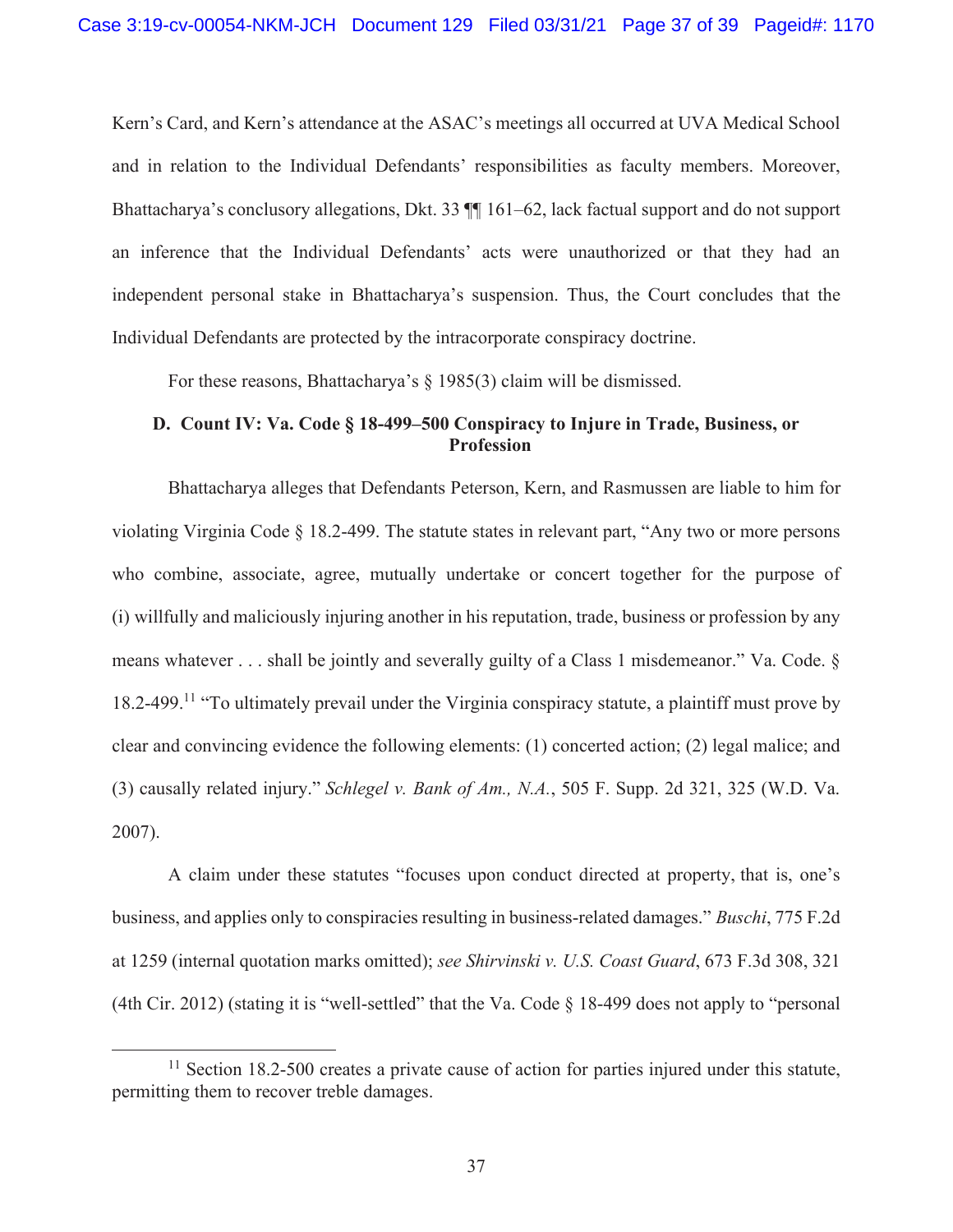Kern's Card, and Kern's attendance at the ASAC's meetings all occurred at UVA Medical School and in relation to the Individual Defendants' responsibilities as faculty members. Moreover, Bhattacharya's conclusory allegations, Dkt. 33 ¶¶ 161–62, lack factual support and do not support an inference that the Individual Defendants' acts were unauthorized or that they had an independent personal stake in Bhattacharya's suspension. Thus, the Court concludes that the Individual Defendants are protected by the intracorporate conspiracy doctrine.

For these reasons, Bhattacharya's § 1985(3) claim will be dismissed.

# **D. Count IV: Va. Code § 18-499–500 Conspiracy to Injure in Trade, Business, or Profession**

Bhattacharya alleges that Defendants Peterson, Kern, and Rasmussen are liable to him for violating Virginia Code § 18.2-499. The statute states in relevant part, "Any two or more persons who combine, associate, agree, mutually undertake or concert together for the purpose of (i) willfully and maliciously injuring another in his reputation, trade, business or profession by any means whatever . . . shall be jointly and severally guilty of a Class 1 misdemeanor." Va. Code. § 18.2-499.<sup>11</sup> "To ultimately prevail under the Virginia conspiracy statute, a plaintiff must prove by clear and convincing evidence the following elements: (1) concerted action; (2) legal malice; and (3) causally related injury." *Schlegel v. Bank of Am., N.A.*, 505 F. Supp. 2d 321, 325 (W.D. Va. 2007).

A claim under these statutes "focuses upon conduct directed at property, that is, one's business, and applies only to conspiracies resulting in business-related damages." *Buschi*, 775 F.2d at 1259 (internal quotation marks omitted); *see Shirvinski v. U.S. Coast Guard*, 673 F.3d 308, 321 (4th Cir. 2012) (stating it is "well-settled" that the Va. Code § 18-499 does not apply to "personal

 $11$  Section 18.2-500 creates a private cause of action for parties injured under this statute, permitting them to recover treble damages.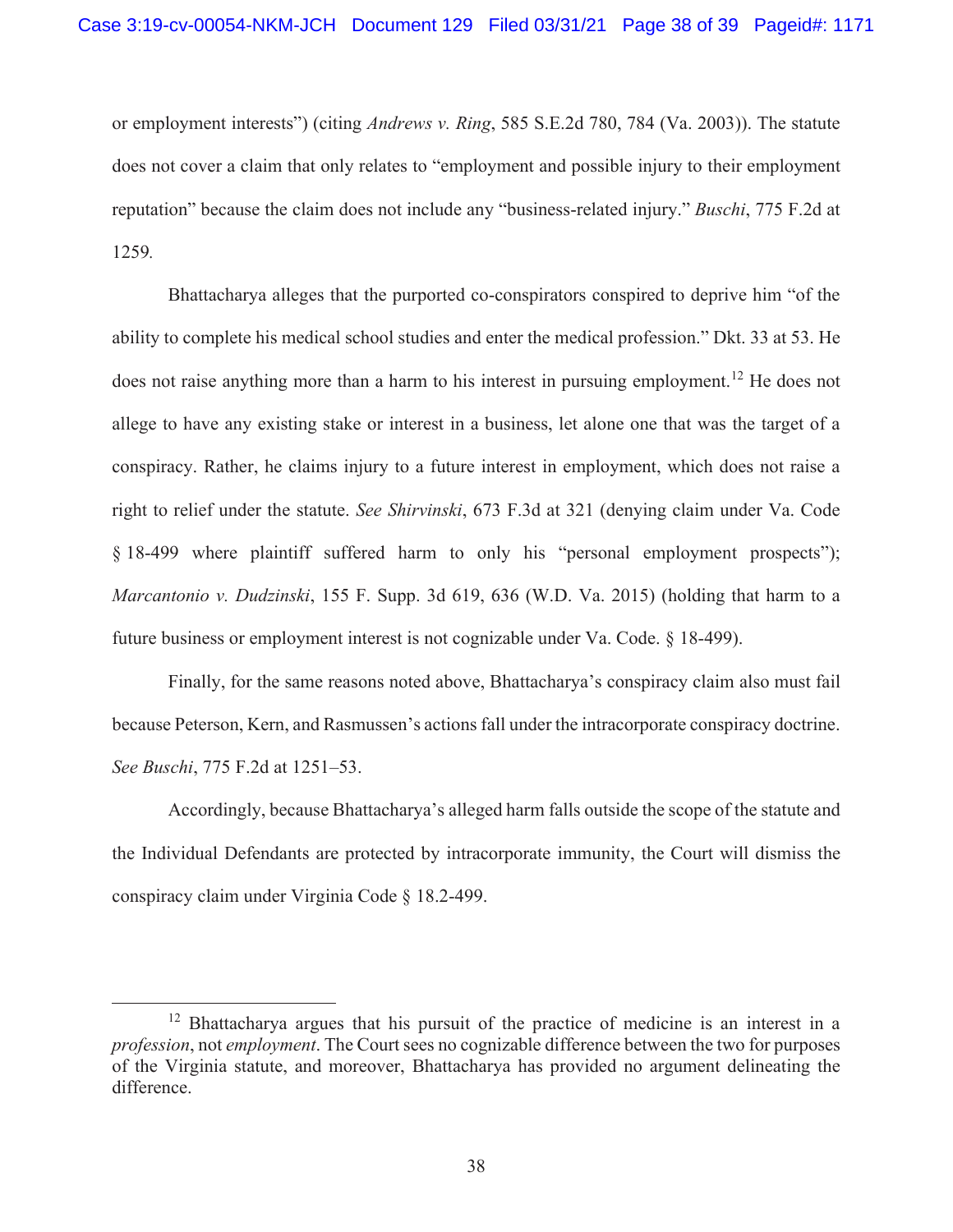or employment interests") (citing *Andrews v. Ring*, 585 S.E.2d 780, 784 (Va. 2003)). The statute does not cover a claim that only relates to "employment and possible injury to their employment reputation" because the claim does not include any "business-related injury." *Buschi*, 775 F.2d at 1259*.* 

Bhattacharya alleges that the purported co-conspirators conspired to deprive him "of the ability to complete his medical school studies and enter the medical profession." Dkt. 33 at 53. He does not raise anything more than a harm to his interest in pursuing employment.<sup>12</sup> He does not allege to have any existing stake or interest in a business, let alone one that was the target of a conspiracy. Rather, he claims injury to a future interest in employment, which does not raise a right to relief under the statute. *See Shirvinski*, 673 F.3d at 321 (denying claim under Va. Code § 18-499 where plaintiff suffered harm to only his "personal employment prospects"); *Marcantonio v. Dudzinski*, 155 F. Supp. 3d 619, 636 (W.D. Va. 2015) (holding that harm to a future business or employment interest is not cognizable under Va. Code. § 18-499).

Finally, for the same reasons noted above, Bhattacharya's conspiracy claim also must fail because Peterson, Kern, and Rasmussen's actions fall under the intracorporate conspiracy doctrine. *See Buschi*, 775 F.2d at 1251–53.

Accordingly, because Bhattacharya's alleged harm falls outside the scope of the statute and the Individual Defendants are protected by intracorporate immunity, the Court will dismiss the conspiracy claim under Virginia Code § 18.2-499.

<sup>&</sup>lt;sup>12</sup> Bhattacharya argues that his pursuit of the practice of medicine is an interest in a *profession*, not *employment*. The Court sees no cognizable difference between the two for purposes of the Virginia statute, and moreover, Bhattacharya has provided no argument delineating the difference.